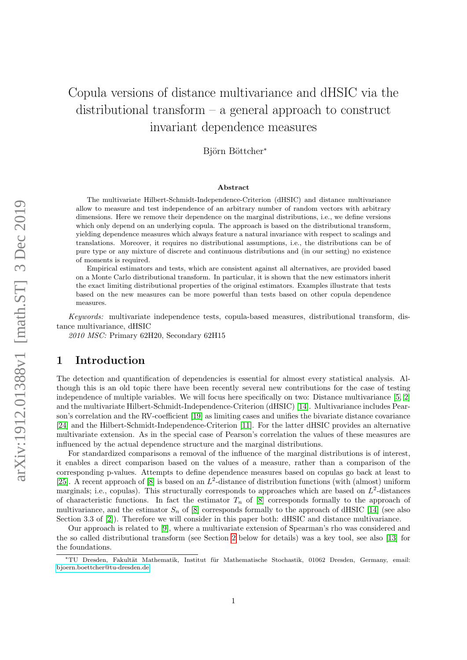# Copula versions of distance multivariance and dHSIC via the distributional transform – a general approach to construct invariant dependence measures

Björn Böttcher<sup>∗</sup>

#### Abstract

The multivariate Hilbert-Schmidt-Independence-Criterion (dHSIC) and distance multivariance allow to measure and test independence of an arbitrary number of random vectors with arbitrary dimensions. Here we remove their dependence on the marginal distributions, i.e., we define versions which only depend on an underlying copula. The approach is based on the distributional transform, yielding dependence measures which always feature a natural invariance with respect to scalings and translations. Moreover, it requires no distributional assumptions, i.e., the distributions can be of pure type or any mixture of discrete and continuous distributions and (in our setting) no existence of moments is required.

Empirical estimators and tests, which are consistent against all alternatives, are provided based on a Monte Carlo distributional transform. In particular, it is shown that the new estimators inherit the exact limiting distributional properties of the original estimators. Examples illustrate that tests based on the new measures can be more powerful than tests based on other copula dependence measures.

Keywords: multivariate independence tests, copula-based measures, distributional transform, distance multivariance, dHSIC

2010 MSC: Primary 62H20, Secondary 62H15

#### 1 Introduction

The detection and quantification of dependencies is essential for almost every statistical analysis. Although this is an old topic there have been recently several new contributions for the case of testing independence of multiple variables. We will focus here specifically on two: Distance multivariance [\[5,](#page-12-0) [2\]](#page-12-1) and the multivariate Hilbert-Schmidt-Independence-Criterion (dHSIC) [\[14\]](#page-12-2). Multivariance includes Pearson's correlation and the RV-coefficient [\[19\]](#page-13-0) as limiting cases and unifies the bivariate distance covariance [\[24\]](#page-13-1) and the Hilbert-Schmidt-Independence-Criterion [\[11\]](#page-12-3). For the latter dHSIC provides an alternative multivariate extension. As in the special case of Pearson's correlation the values of these measures are influenced by the actual dependence structure and the marginal distributions.

For standardized comparisons a removal of the influence of the marginal distributions is of interest, it enables a direct comparison based on the values of a measure, rather than a comparison of the corresponding p-values. Attempts to define dependence measures based on copulas go back at least to [\[25\]](#page-13-2). A recent approach of  $[8]$  is based on an  $L^2$ -distance of distribution functions (with (almost) uniform marginals; i.e., copulas). This structurally corresponds to approaches which are based on  $L^2$ -distances of characteristic functions. In fact the estimator  $T_n$  of [\[8\]](#page-12-4) corresponds formally to the approach of multivariance, and the estimator  $S_n$  of [\[8\]](#page-12-4) corresponds formally to the approach of dHSIC [\[14\]](#page-12-2) (see also Section 3.3 of [\[2\]](#page-12-1)). Therefore we will consider in this paper both: dHSIC and distance multivariance.

Our approach is related to [\[9\]](#page-12-5), where a multivariate extension of Spearman's rho was considered and the so called distributional transform (see Section [2](#page-1-0) below for details) was a key tool, see also [\[13\]](#page-12-6) for the foundations.

<sup>∗</sup>TU Dresden, Fakult¨at Mathematik, Institut f¨ur Mathematische Stochastik, 01062 Dresden, Germany, email: [bjoern.boettcher@tu-dresden.de](mailto:bjoern.boettcher@tu-dresden.de)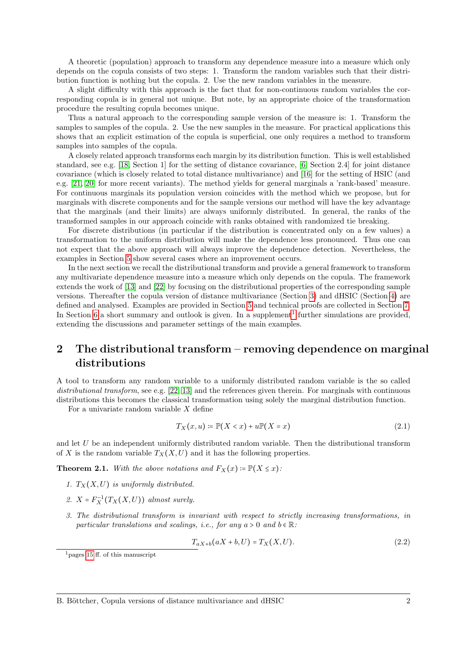A theoretic (population) approach to transform any dependence measure into a measure which only depends on the copula consists of two steps: 1. Transform the random variables such that their distribution function is nothing but the copula. 2. Use the new random variables in the measure.

A slight difficulty with this approach is the fact that for non-continuous random variables the corresponding copula is in general not unique. But note, by an appropriate choice of the transformation procedure the resulting copula becomes unique.

Thus a natural approach to the corresponding sample version of the measure is: 1. Transform the samples to samples of the copula. 2. Use the new samples in the measure. For practical applications this shows that an explicit estimation of the copula is superficial, one only requires a method to transform samples into samples of the copula.

A closely related approach transforms each margin by its distribution function. This is well established standard, see e.g. [\[18,](#page-13-3) Section 1] for the setting of distance covariance, [\[6,](#page-12-7) Section 2.4] for joint distance covariance (which is closely related to total distance multivariance) and [\[16\]](#page-12-8) for the setting of HSIC (and e.g. [\[21,](#page-13-4) [20\]](#page-13-5) for more recent variants). The method yields for general marginals a 'rank-based' measure. For continuous marginals its population version coincides with the method which we propose, but for marginals with discrete components and for the sample versions our method will have the key advantage that the marginals (and their limits) are always uniformly distributed. In general, the ranks of the transformed samples in our approach coincide with ranks obtained with randomized tie breaking.

For discrete distributions (in particular if the distribution is concentrated only on a few values) a transformation to the uniform distribution will make the dependence less pronounced. Thus one can not expect that the above approach will always improve the dependence detection. Nevertheless, the examples in Section [5](#page-7-0) show several cases where an improvement occurs.

In the next section we recall the distributional transform and provide a general framework to transform any multivariate dependence measure into a measure which only depends on the copula. The framework extends the work of [\[13\]](#page-12-6) and [\[22\]](#page-13-6) by focusing on the distributional properties of the corresponding sample versions. Thereafter the copula version of distance multivariance (Section [3\)](#page-4-0) and dHSIC (Section [4\)](#page-6-0) are defined and analysed. Examples are provided in Section [5](#page-7-0) and technical proofs are collected in Section [7.](#page-10-0) In Section [6](#page-10-1) a short summary and outlook is given. In a supplement<sup>[1](#page-1-1)</sup> further simulations are provided, extending the discussions and parameter settings of the main examples.

## <span id="page-1-0"></span>2 The distributional transform – removing dependence on marginal distributions

A tool to transform any random variable to a uniformly distributed random variable is the so called distributional transform, see e.g. [\[22,](#page-13-6) [13\]](#page-12-6) and the references given therein. For marginals with continuous distributions this becomes the classical transformation using solely the marginal distribution function.

For a univariate random variable  $X$  define

$$
T_X(x, u) \coloneqq \mathbb{P}(X < x) + u \mathbb{P}(X = x) \tag{2.1}
$$

and let U be an independent uniformly distributed random variable. Then the distributional transform of X is the random variable  $T_X(X, U)$  and it has the following properties.

<span id="page-1-2"></span>**Theorem 2.1.** With the above notations and  $F_X(x) \coloneqq \mathbb{P}(X \leq x)$ :

- 1.  $T_X(X, U)$  is uniformly distributed.
- 2.  $X = F_X^{-1}(T_X(X, U))$  almost surely.
- 3. The distributional transform is invariant with respect to strictly increasing transformations, in particular translations and scalings, i.e., for any  $a > 0$  and  $b \in \mathbb{R}$ :

$$
T_{aX+b}(aX+b, U) = T_X(X, U).
$$
\n(2.2)

<span id="page-1-1"></span> $1_{\text{pages}}$  [15](#page-14-0) ff. of this manuscript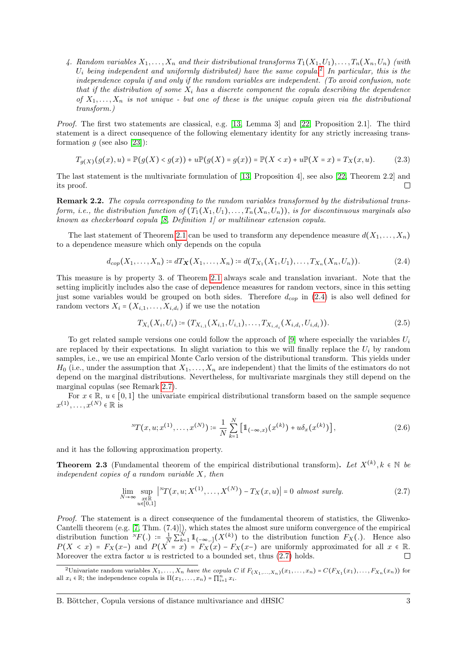4. Random variables  $X_1, \ldots, X_n$  and their distributional transforms  $T_1(X_1, U_1), \ldots, T_n(X_n, U_n)$  (with  $U_i$  being independent and uniformly distributed) have the same copula.<sup>[2](#page-2-0)</sup> In particular, this is the independence copula if and only if the random variables are independent. (To avoid confusion, note that if the distribution of some  $X_i$  has a discrete component the copula describing the dependence of  $X_1, \ldots, X_n$  is not unique - but one of these is the unique copula given via the distributional transform.)

Proof. The first two statements are classical, e.g. [\[13,](#page-12-6) Lemma 3] and [\[22,](#page-13-6) Proposition 2.1]. The third statement is a direct consequence of the following elementary identity for any strictly increasing trans-formation q (see also [\[23\]](#page-13-7)):

$$
T_{g(X)}(g(x),u) = \mathbb{P}(g(X) < g(x)) + u \mathbb{P}(g(X) = g(x)) = \mathbb{P}(X < x) + u \mathbb{P}(X = x) = T_X(x,u). \tag{2.3}
$$

The last statement is the multivariate formulation of [\[13,](#page-12-6) Proposition 4], see also [\[22,](#page-13-6) Theorem 2.2] and its proof. П

Remark 2.2. The copula corresponding to the random variables transformed by the distributional transform, i.e., the distribution function of  $(T_1(X_1, U_1), \ldots, T_n(X_n, U_n))$ , is for discontinuous marginals also known as checkerboard copula [\[8,](#page-12-4) Definition 1] or multilinear extension copula.

The last statement of Theorem [2.1](#page-1-2) can be used to transform any dependence measure  $d(X_1, \ldots, X_n)$ to a dependence measure which only depends on the copula

$$
d_{cop}(X_1, \ldots, X_n) \coloneqq dT_{\mathbf{X}}(X_1, \ldots, X_n) \coloneqq d(T_{X_1}(X_1, U_1), \ldots, T_{X_n}(X_n, U_n)). \tag{2.4}
$$

This measure is by property 3. of Theorem [2.1](#page-1-2) always scale and translation invariant. Note that the setting implicitly includes also the case of dependence measures for random vectors, since in this setting just some variables would be grouped on both sides. Therefore  $d_{cop}$  in [\(2.4\)](#page-2-1) is also well defined for random vectors  $X_i = (X_{i,1}, \ldots, X_{i,d_i})$  if we use the notation

<span id="page-2-3"></span><span id="page-2-1"></span>
$$
T_{X_i}(X_i, U_i) \coloneqq (T_{X_{i,1}}(X_{i,1}, U_{i,1}), \dots, T_{X_{i,d_i}}(X_{i,d_i}, U_{i,d_i})). \tag{2.5}
$$

To get related sample versions one could follow the approach of [\[9\]](#page-12-5) where especially the variables  $U_i$ are replaced by their expectations. In slight variation to this we will finally replace the  $U_i$  by random samples, i.e., we use an empirical Monte Carlo version of the distributional transform. This yields under  $H_0$  (i.e., under the assumption that  $X_1, \ldots, X_n$  are independent) that the limits of the estimators do not depend on the marginal distributions. Nevertheless, for multivariate marginals they still depend on the marginal copulas (see Remark [2.7\)](#page-4-1).

For  $x \in \mathbb{R}$ ,  $u \in [0,1]$  the univariate empirical distributional transform based on the sample sequence  $x^{(1)}, \ldots, x^{(N)} \in \mathbb{R}$  is

<span id="page-2-2"></span>
$$
{}^{N}T(x, u; x^{(1)}, \dots, x^{(N)}) \coloneqq \frac{1}{N} \sum_{k=1}^{N} \left[ \mathbb{1}_{(-\infty, x)} (x^{(k)}) + u \delta_x (x^{(k)}) \right], \tag{2.6}
$$

and it has the following approximation property.

<span id="page-2-4"></span>**Theorem 2.3** (Fundamental theorem of the empirical distributional transform). Let  $X^{(k)}$ ,  $k \in \mathbb{N}$  be independent sories of a partially  $X$ , then independent copies of a random variable X, then

$$
\lim_{N \to \infty} \sup_{\substack{x \in \mathbb{R} \\ u \in [0,1]}} \left| {}^{N}T(x, u; X^{(1)}, \dots, X^{(N)}) - T_X(x, u) \right| = 0 \text{ almost surely.}
$$
\n(2.7)

Proof. The statement is a direct consequence of the fundamental theorem of statistics, the Gliwenko-Cantelli theorem (e.g. [\[7,](#page-12-9) Thm. (7.4)]), which states the almost sure uniform convergence of the empirical distribution function  ${}^N F(.) := \frac{1}{N} \sum_{k=1}^N \mathbb{1}_{(-\infty,1]} (X^{(k)})$  to the distribution function  $F_X(.)$ . Hence also  $P(X \le x) = F_X(x-)$  and  $P(X = x) = F_X(x) - F_X(x-)$  are uniformly approximated for all  $x \in \mathbb{R}$ . Moreover the extra factor  $u$  is restricted to a bounded set, thus  $(2.7)$  holds.

<span id="page-2-0"></span><sup>&</sup>lt;sup>2</sup>Univariate random variables  $X_1, \ldots, X_n$  have the copula C if  $F_{(X_1,\ldots,X_n)}(x_1,\ldots,x_n) = C(F_{X_1}(x_1),\ldots,F_{X_n}(x_n))$  for all  $x_i \in \mathbb{R}$ ; the independence copula is  $\Pi(x_1, \ldots, x_n) = \prod_{i=1}^n x_i$ .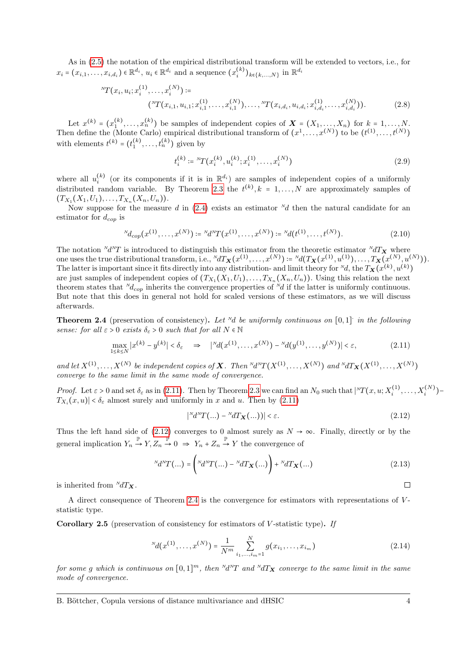As in [\(2.5\)](#page-2-3) the notation of the empirical distributional transform will be extended to vectors, i.e., for  $x_i = (x_{i,1}, \ldots, x_{i,d_i}) \in \mathbb{R}^{d_i}, u_i \in \mathbb{R}^{d_i}$  and a sequence  $(x_i^{(k)})_{k \in \{k,\ldots,N\}}$  in  $\mathbb{R}^{d_i}$ 

$$
{}^{N}T(x_i, u_i; x_i^{(1)}, \dots, x_i^{(N)}) \coloneqq
$$
  

$$
({}^{N}T(x_{i,1}, u_{i,1}; x_{i,1}^{(1)}, \dots, x_{i,1}^{(N)}), \dots, {}^{N}T(x_{i,d_i}, u_{i,d_i}; x_{i,d_i}^{(1)}, \dots, x_{i,d_i}^{(N)})).
$$
 (2.8)

Let  $x^{(k)} = (x_1^{(k)}, \ldots, x_n^{(k)})$  be samples of independent copies of  $\mathbf{X} = (X_1, \ldots, X_n)$  for  $k = 1, \ldots, N$ . Then define the (Monte Carlo) empirical distributional transform of  $(x^1, \ldots, x^{(N)})$  to be  $(t^{(1)}, \ldots, t^{(N)})$ with elements  $t^{(k)} = (t_1^{(k)}, \dots, t_n^{(k)})$  given by

<span id="page-3-3"></span>
$$
t_i^{(k)} \coloneqq {}^{N}T(x_i^{(k)}, u_i^{(k)}; x_i^{(1)}, \dots, x_i^{(N)}) \tag{2.9}
$$

where all  $u_i^{(k)}$  (or its components if it is in  $\mathbb{R}^{d_i}$ ) are samples of independent copies of a uniformly distributed random variable. By Theorem [2.3](#page-2-4) the  $t^{(k)}, k = 1, ..., N$  are approximately samples of  $(T, (X, U))$  $(T_{X_1}(X_1,U_1),\ldots,T_{X_n}(X_n,U_n)).$ 

Now suppose for the measure d in  $(2.4)$  exists an estimator  $\frac{N}{d}$  then the natural candidate for an estimator for  $d_{cop}$  is

$$
{}^{N}d_{cop}(x^{(1)},\ldots,x^{(N)}) \coloneqq {}^{N}d^{N}T(x^{(1)},\ldots,x^{(N)}) \coloneqq {}^{N}d(t^{(1)},\ldots,t^{(N)}).
$$
\n(2.10)

The notation  $\Delta N T$  is introduced to distinguish this estimator from the theoretic estimator  $\Delta T$ **X** where one uses the true distributional transform, i.e.,  ${}^N dT_X(x^{(1)}, \ldots, x^{(N)}) \coloneqq {}^N d(T_X(x^{(1)}, u^{(1)}), \ldots, T_X(x^{(N)}, u^{(N)})).$ <br>The letter is important since it fits directly into any distribution, and limit theory for  $N d$ , the  $T_n(x^{(k)}, u$ The latter is important since it fits directly into any distribution- and limit theory for <sup>N</sup>d, the  $T_X(x^{(k)}, u^{(k)})$ are just samples of independent copies of  $(T_{X_1}(X_1, U_1), \ldots, T_{X_n}(X_n, U_n))$ . Using this relation the next theorem states that  $N_{d_{CD}}$  inherits the convergence properties of  $N_d$  if the latter is uniformly continuous. But note that this does in general not hold for scaled versions of these estimators, as we will discuss afterwards.

<span id="page-3-2"></span>**Theorem 2.4** (preservation of consistency). Let <sup>N</sup>d be uniformly continuous on  $[0,1]$  in the following sense: for all  $\varepsilon > 0$  exists  $\delta_{\varepsilon} > 0$  such that for all  $N \in \mathbb{N}$ 

$$
\max_{1 \le k \le N} |x^{(k)} - y^{(k)}| < \delta_{\varepsilon} \quad \Rightarrow \quad |^{N} d(x^{(1)}, \dots, x^{(N)}) - {^{N}} d(y^{(1)}, \dots, y^{(N)})| < \varepsilon,\tag{2.11}
$$

and let  $X^{(1)},...,X^{(N)}$  be independent copies of **X**. Then  $\mathbb{N}d\mathbb{N}T(X^{(1)},...,X^{(N)})$  and  $\mathbb{N}dT_{\mathbf{X}}(X^{(1)},...,X^{(N)})$ converge to the same limit in the same mode of convergence.

Proof. Let  $\varepsilon > 0$  and set  $\delta_{\varepsilon}$  as in [\(2.11\)](#page-3-0). Then by Theorem [2.3](#page-2-4) we can find an  $N_0$  such that  $|{}^N T(x, u; X_i^{(1)}, \ldots, X_i^{(N)}) -$ <br> $\overline{T}$  (x, u)  $\leq \delta$  almost symply and uniformly in g and u. Then by (2.11)  $T_{X_i}(x, u)$  <  $\delta_{\varepsilon}$  almost surely and uniformly in x and u. Then by [\(2.11\)](#page-3-0)

<span id="page-3-1"></span><span id="page-3-0"></span>
$$
|^{N}d^{N}T(\ldots)-^{N}dT_{\mathbf{X}}(\ldots)|<\varepsilon.\tag{2.12}
$$

Thus the left hand side of [\(2.12\)](#page-3-1) converges to 0 almost surely as  $N \to \infty$ . Finally, directly or by the general implication  $Y_n \stackrel{\mathbb{P}}{\rightarrow} Y, Z_n \stackrel{\mathbb{P}}{\rightarrow} 0 \Rightarrow Y_n + Z_n \stackrel{\mathbb{P}}{\rightarrow} Y$  the convergence of

$$
^{N}d^{N}T(...) = {^{N}d^{N}T(...) - ^{N}dT_{\mathbf{X}}(...)} + ^{N}dT_{\mathbf{X}}(...)
$$
\n(2.13)

is inherited from  $\sqrt[N]{dT_X}$ .

A direct consequence of Theorem [2.4](#page-3-2) is the convergence for estimators with representations of Vstatistic type.

Corollary 2.5 (preservation of consistency for estimators of  $V$ -statistic type). If

$$
^{N}d(x^{(1)},\ldots,x^{(N)}) = \frac{1}{N^{m}}\sum_{i_{1},\ldots,i_{m}=1}^{N} g(x_{i_{1}},\ldots,x_{i_{m}})
$$
\n(2.14)

for some g which is continuous on  $[0,1]^m$ , then  $\Delta^N T$  and  $\Delta^N T$  converge to the same limit in the same mode of convergence.

 $\Box$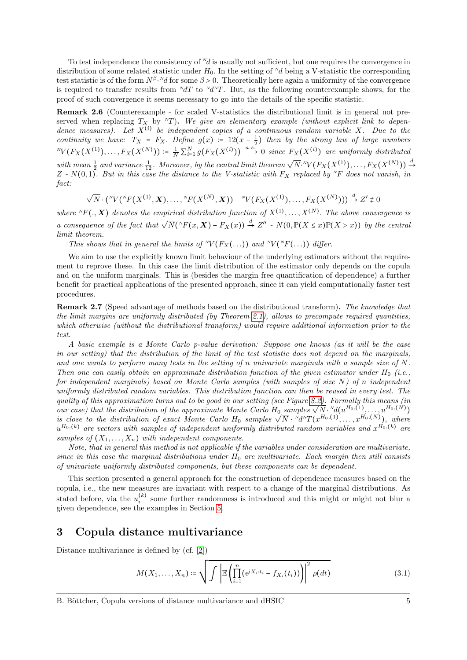To test independence the consistency of  $\mathbb{Y}_d$  is usually not sufficient, but one requires the convergence in distribution of some related statistic under  $H_0$ . In the setting of  $^{Nd}$  being a V-statistic the corresponding test statistic is of the form  $N^{\beta}N d$  for some  $\beta > 0$ . Theoretically here again a uniformity of the convergence<br>is negatively to the convergence wealth from  $N dT + \epsilon N dN T$ . But so the following counterparamely above, for is required to transfer results from  $\Delta T$  to  $\Delta N$ . But, as the following counterexample shows, for the proof of such convergence it seems necessary to go into the details of the specific statistic.

Remark 2.6 (Counterexample - for scaled V-statistics the distributional limit is in general not preserved when replacing  $T_X$  by  $T_Y$ ). We give an elementary example (without explicit link to dependence measures). Let  $X^{(i)}$  be independent copies of a continuous random variable X. Due to the continuity we have:  $T_X = F_X$ . Define  $g(x) := 12(x - \frac{1}{2})$  then by the strong law of large numbers  $\mathbb{E}[X(Y^{(1)}), \ldots, F_X(X^{(N)}))] := \frac{1}{N} \sum_{i=1}^N g(F_X(X^{(i)})) \xrightarrow{a.s.} 0$  since  $F_X(X^{(i)})$  are uniformly distributed

with mean  $\frac{1}{2}$  and variance  $\frac{1}{12}$ . Moreover, by the central limit theorem  $\sqrt{N}N(F_X(X^{(1)}),...,F_X(X^{(N)})) \stackrel{d}{\rightarrow}$  $Z \sim N(0, 1)$ . But in this case the distance to the V-statistic with  $F_X$  replaced by <sup>N</sup>F does not vanish, in fact:

$$
\sqrt{N}\cdot\left({}^{N}V({}^{N}F(X^{(1)},\boldsymbol{X}),\ldots,{}^{N}F(X^{(N)},\boldsymbol{X})\right)-{}^{N}V(F_X(X^{(1)}),\ldots,F_X(X^{(N)})))\stackrel{d}{\rightarrow}Z'\not\equiv0
$$

where  ${}^N F(., \mathbf{X})$  denotes the empirical distribution function of  $X^{(1)}, \ldots, X^{(N)}$ . The above convergence is a consequence of the fact that  $\sqrt{N}({}^N F(x, \mathbf{X}) - F_X(x)) \xrightarrow{d} Z'' \sim N(0, \mathbb{P}(X \leq x) \mathbb{P}(X > x))$  by the central limit theorem.

This shows that in general the limits of  $N(F_X(...))$  and  $N(F_Y(...))$  differ.

We aim to use the explicitly known limit behaviour of the underlying estimators without the requirement to reprove these. In this case the limit distribution of the estimator only depends on the copula and on the uniform marginals. This is (besides the margin free quantification of dependence) a further benefit for practical applications of the presented approach, since it can yield computationally faster test procedures.

<span id="page-4-1"></span>Remark 2.7 (Speed advantage of methods based on the distributional transform). The knowledge that the limit margins are uniformly distributed (by Theorem [2.1\)](#page-1-2), allows to precompute required quantities, which otherwise (without the distributional transform) would require additional information prior to the test.

A basic example is a Monte Carlo p-value derivation: Suppose one knows (as it will be the case in our setting) that the distribution of the limit of the test statistic does not depend on the marginals, and one wants to perform many tests in the setting of n univariate marginals with a sample size of  $N$ . Then one can easily obtain an approximate distribution function of the given estimator under  $H_0$  (i.e., for independent marginals) based on Monte Carlo samples (with samples of size  $N$ ) of n independent uniformly distributed random variables. This distribution function can then be reused in every test. The quality of this approximation turns out to be good in our setting (see Figure [S.2\)](#page-15-0). Formally this means (in quality of the distribution of the approximate Monte Carlo H<sub>0</sub> samples  $\sqrt{N} \cdot {}^{N}d^{(uH_0, (1)}, \ldots, {}^{N}d_0, (N))$ <br>is close to the distribution of exact Monte Carlo H<sub>0</sub> samples  $\sqrt{N} \cdot {}^{N}d^{N}T(x^{H_0, (1)}, \ldots, x^{H_0, (N)})$ , wher  $u^{H_0,(k)}$  are vectors with samples of independent uniformly distributed random variables and  $x^{H_0,(k)}$  are samples of  $(X_1, \ldots, X_n)$  with independent components.

Note, that in general this method is not applicable if the variables under consideration are multivariate, since in this case the marginal distributions under  $H_0$  are multivariate. Each margin then still consists of univariate uniformly distributed components, but these components can be dependent.

This section presented a general approach for the construction of dependence measures based on the copula, i.e., the new measures are invariant with respect to a change of the marginal distributions. As stated before, via the  $u_i^{(k)}$  some further randomness is introduced and this might or might not blur a given dependence, see the examples in Section [5.](#page-7-0)

#### <span id="page-4-0"></span>3 Copula distance multivariance

Distance multivariance is defined by (cf. [\[2\]](#page-12-1))

$$
M(X_1,\ldots,X_n) \coloneqq \sqrt{\int \left| \mathbb{E}\left(\prod_{i=1}^n (e^{iX_i \cdot t_i} - f_{X_i}(t_i))\right) \right|^2 \rho(dt)} \tag{3.1}
$$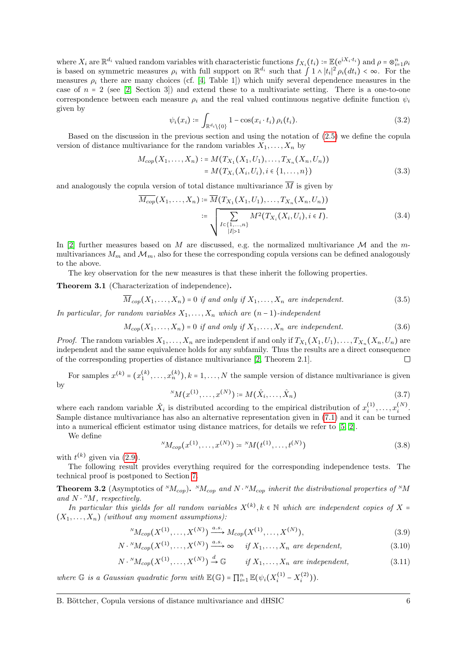where  $X_i$  are  $\mathbb{R}^{d_i}$  valued random variables with characteristic functions  $f_{X_i}(t_i) \coloneqq \mathbb{E}(\mathrm{e}^{\mathrm{i}X_i \cdot t_i})$  and  $\rho = \otimes_{i=1}^n \rho_i$ is based on symmetric measures  $\rho_i$  with full support on  $\mathbb{R}^{d_i}$  such that  $\int 1 \wedge |t_i|^2 \rho_i(dt_i) < \infty$ . For the measures  $\rho_i$  there are many choices (cf. [\[4,](#page-12-10) Table 1]) which unify several dependence measures in the case of  $n = 2$  (see [\[2,](#page-12-1) Section 3]) and extend these to a multivariate setting. There is a one-to-one correspondence between each measure  $\rho_i$  and the real valued continuous negative definite function  $\psi_i$ given by

$$
\psi_i(x_i) \coloneqq \int_{\mathbb{R}^{d_i} \setminus \{0\}} 1 - \cos(x_i \cdot t_i) \, \rho_i(t_i). \tag{3.2}
$$

<span id="page-5-2"></span>Based on the discussion in the previous section and using the notation of [\(2.5\)](#page-2-3) we define the copula version of distance multivariance for the random variables  $X_1, \ldots, X_n$  by

$$
M_{cop}(X_1, \ldots, X_n) := M(T_{X_1}(X_1, U_1), \ldots, T_{X_n}(X_n, U_n))
$$
  
=  $M(T_{X_i}(X_i, U_i), i \in \{1, \ldots, n\})$  (3.3)

and analogously the copula version of total distance multivariance  $\overline{M}$  is given by

$$
\overline{M_{cop}}(X_1, \dots, X_n) := \overline{M}(T_{X_1}(X_1, U_1), \dots, T_{X_n}(X_n, U_n))
$$
  
 := 
$$
\sqrt{\sum_{\substack{I \in \{1, \dots, n\} \\ |I| > 1}} M^2(T_{X_i}(X_i, U_i), i \in I)}.
$$
 (3.4)

In [\[2\]](#page-12-1) further measures based on M are discussed, e.g. the normalized multivariance M and the mmultivariances  $M_m$  and  $\mathcal{M}_m$ , also for these the corresponding copula versions can be defined analogously to the above.

The key observation for the new measures is that these inherit the following properties.

<span id="page-5-3"></span>Theorem 3.1 (Characterization of independence).

$$
\overline{M}_{cop}(X_1,\ldots,X_n) = 0 \text{ if and only if } X_1,\ldots,X_n \text{ are independent.}
$$
\n(3.5)

In particular, for random variables  $X_1, \ldots, X_n$  which are  $(n-1)$ -independent

$$
M_{cop}(X_1,\ldots,X_n)=0 \text{ if and only if } X_1,\ldots,X_n \text{ are independent.}
$$
 (3.6)

*Proof.* The random variables  $X_1, \ldots, X_n$  are independent if and only if  $T_{X_1}(X_1, U_1), \ldots, T_{X_n}(X_n, U_n)$  are independent and the same equivalence holds for any subfamily. Thus the results are a direct consequence of the corresponding properties of distance multivariance [\[2,](#page-12-1) Theorem 2.1].  $\Box$ 

For samples  $x^{(k)} = (x_1^{(k)}, \ldots, x_n^{(k)}), k = 1, \ldots, N$  the sample version of distance multivariance is given by

$$
{}^{N}M(x^{(1)},...,x^{(N)}) \coloneqq M(\hat{X}_i,...,\hat{X}_n) \tag{3.7}
$$

where each random variable  $\hat{X}_i$  is distributed according to the empirical distribution of  $x_i^{(1)}, \ldots, x_i^{(N)}$ . Sample distance multivariance has also an alternative representation given in [\(7.1\)](#page-10-2) and it can be turned into a numerical efficient estimator using distance matrices, for details we refer to [\[5,](#page-12-0) [2\]](#page-12-1).

<span id="page-5-4"></span>We define

<span id="page-5-1"></span><span id="page-5-0"></span>
$$
{}^{N}M_{cop}(x^{(1)},\ldots,x^{(N)}) \coloneqq {}^{N}M(t^{(1)},\ldots,t^{(N)})
$$
\n(3.8)

with  $t^{(k)}$  given via  $(2.9)$ .

The following result provides everything required for the corresponding independence tests. The technical proof is postponed to Section [7.](#page-10-0)

<span id="page-5-5"></span>**Theorem 3.2** (Asymptotics of  $^{N}M_{cop}$ ).  $^{N}M_{cop}$  and  $N \cdot ^{N}M_{cop}$  inherit the distributional properties of  $^{N}M$ and  $N \cdot M$ , respectively.

In particular this yields for all random variables  $X^{(k)}$ ,  $k \in \mathbb{N}$  which are independent copies of  $X =$ <br> $X \in \mathbb{N}$  (without are more assumptions).  $(X_1, \ldots, X_n)$  (without any moment assumptions):

<sup>N</sup>
$$
M_{cop}(X^{(1)},...,X^{(N)}) \xrightarrow{a.s.} M_{cop}(X^{(1)},...,X^{(N)}),
$$
 (3.9)

$$
N \cdot {}^{N}M_{cop}(X^{(1)}, \ldots, X^{(N)}) \xrightarrow{a.s.} \infty \quad \text{if } X_1, \ldots, X_n \text{ are dependent,}
$$
\n
$$
(3.10)
$$

$$
N \cdot {}^{N}M_{cop}(X^{(1)}, \ldots, X^{(N)}) \stackrel{d}{\to} \mathbb{G} \qquad \text{if } X_1, \ldots, X_n \text{ are independent,}
$$
 (3.11)

where  $\mathbb G$  is a Gaussian quadratic form with  $\mathbb E(\mathbb G) = \prod_{i=1}^n \mathbb E(\psi_i(X_i^{(1)} - X_i^{(2)}))$ .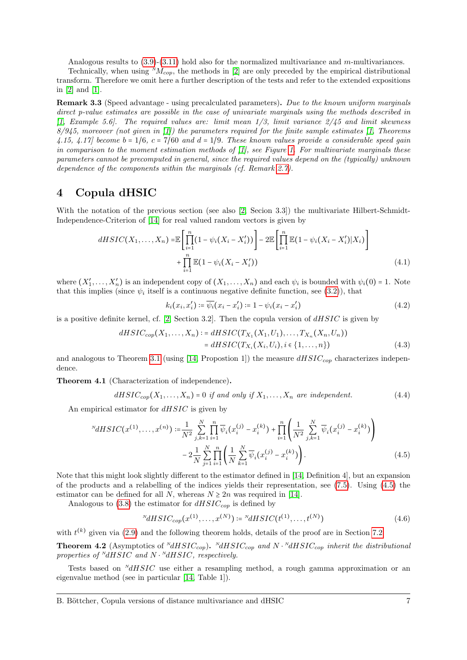Analogous results to  $(3.9)-(3.11)$  $(3.9)-(3.11)$  $(3.9)-(3.11)$  hold also for the normalized multivariance and m-multivariances.

Technically, when using  $^{N}M_{cop}$ , the methods in [\[2\]](#page-12-1) are only preceded by the empirical distributional transform. Therefore we omit here a further description of the tests and refer to the extended expositions in [\[2\]](#page-12-1) and [\[1\]](#page-12-11).

<span id="page-6-2"></span>Remark 3.3 (Speed advantage - using precalculated parameters). Due to the known uniform marginals direct p-value estimates are possible in the case of univariate marginals using the methods described in  $[1, Example 5.6].$  $[1, Example 5.6].$  The required values are: limit mean  $1/3$ , limit variance  $2/45$  and limit skewness  $8/945$ , moreover (not given in [\[1\]](#page-12-11)) the parameters required for the finite sample estimates [\[1,](#page-12-11) Theorems 4.15, 4.17] become  $b = 1/6$ ,  $c = 7/60$  and  $d = 1/9$ . These known values provide a considerable speed gain in comparison to the moment estimation methods of  $[1]$ , see Figure [1.](#page-9-0) For multivariate marginals these parameters cannot be precomputed in general, since the required values depend on the (typically) unknown dependence of the components within the marginals (cf. Remark [2.7\)](#page-4-1).

#### <span id="page-6-0"></span>4 Copula dHSIC

With the notation of the previous section (see also [\[2,](#page-12-1) Secion 3.3]) the multivariate Hilbert-Schmidt-Independence-Criterion of [\[14\]](#page-12-2) for real valued random vectors is given by

$$
dHSIC(X_1,...,X_n) = \mathbb{E}\left[\prod_{i=1}^n (1 - \psi_i(X_i - X'_i))\right] - 2\mathbb{E}\left[\prod_{i=1}^n \mathbb{E}(1 - \psi_i(X_i - X'_i)|X_i)\right] + \prod_{i=1}^n \mathbb{E}(1 - \psi_i(X_i - X'_i))
$$
\n(4.1)

where  $(X'_1, \ldots, X'_n)$  is an independent copy of  $(X_1, \ldots, X_n)$  and each  $\psi_i$  is bounded with  $\psi_i(0) = 1$ . Note that this implies (since  $\psi_i$  itself is a continuous negative definite function, see [\(3.2\)](#page-5-2)), that

$$
k_i(x_i, x'_i) \coloneqq \overline{\psi_i}(x_i - x'_i) \coloneqq 1 - \psi_i(x_i - x'_i) \tag{4.2}
$$

is a positive definite kernel, cf. [\[2,](#page-12-1) Section 3.2]. Then the copula version of  $dHSIC$  is given by

$$
dHSIC_{cop}(X_1, ..., X_n) := dHSIC(T_{X_1}(X_1, U_1), ..., T_{X_n}(X_n, U_n))
$$
  
= 
$$
dHSIC(T_{X_i}(X_i, U_i), i \in \{1, ..., n\})
$$
 (4.3)

and analogous to Theorem [3.1](#page-5-3) (using [\[14,](#page-12-2) Propostion 1]) the measure  $dHSIC_{cop}$  characterizes independence.

Theorem 4.1 (Characterization of independence).

$$
dHSIC_{cop}(X_1,\ldots,X_n)=0 \text{ if and only if } X_1,\ldots,X_n \text{ are independent.}
$$
 (4.4)

An empirical estimator for  $dHSIC$  is given by

$$
^{N}dHSIC(x^{(1)},...,x^{(n)}) := \frac{1}{N^{2}} \sum_{j,k=1}^{N} \prod_{i=1}^{n} \overline{\psi}_{i}(x_{i}^{(j)} - x_{i}^{(k)}) + \prod_{i=1}^{n} \left(\frac{1}{N^{2}} \sum_{j,k=1}^{N} \overline{\psi}_{i}(x_{i}^{(j)} - x_{i}^{(k)})\right)
$$

$$
-2 \frac{1}{N} \sum_{j=1}^{N} \prod_{i=1}^{n} \left(\frac{1}{N} \sum_{k=1}^{N} \overline{\psi}_{i}(x_{i}^{(j)} - x_{i}^{(k)})\right).
$$
(4.5)

Note that this might look slightly different to the estimator defined in [\[14,](#page-12-2) Definition 4], but an expansion of the products and a relabelling of the indices yields their representation, see [\(7.5\)](#page-11-0). Using [\(4.5\)](#page-6-1) the estimator can be defined for all N, whereas  $N \geq 2n$  was required in [\[14\]](#page-12-2).

Analogous to [\(3.8\)](#page-5-4) the estimator for  $dHSIC_{cop}$  is defined by

<span id="page-6-1"></span>
$$
{}^{N}dHSIC_{cop}(x^{(1)},\ldots,x^{(N)}) \coloneqq {}^{N}dHSIC(t^{(1)},\ldots,t^{(N)})
$$
\n(4.6)

with  $t^{(k)}$  given via [\(2.9\)](#page-3-3) and the following theorem holds, details of the proof are in Section [7.2.](#page-11-1)

<span id="page-6-3"></span>**Theorem 4.2** (Asymptotics of  $^{N}dHSIC_{cop}$ ).  $^{N}dHSIC_{cop}$  and  $N \cdot ^{N}dHSIC_{cop}$  inherit the distributional properties of  $\sqrt[N]{dHSIC}$  and  $N \cdot \sqrt[N]{dHSIC}$ , respectively.

Tests based on  $^{N}dHSIC$  use either a resampling method, a rough gamma approximation or an eigenvalue method (see in particular [\[14,](#page-12-2) Table 1]).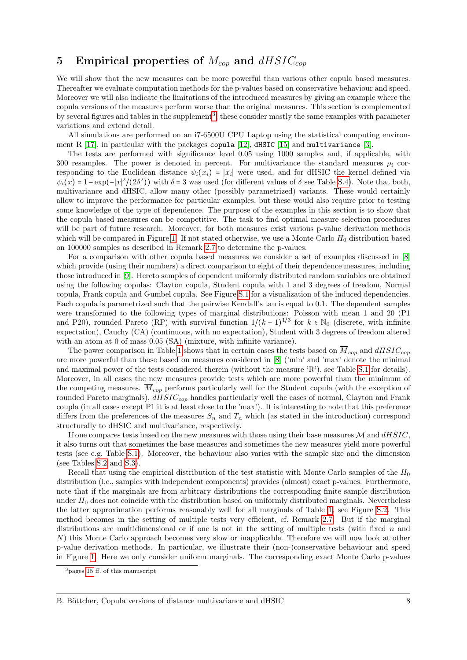## <span id="page-7-0"></span>5 Empirical properties of  $M_{\text{con}}$  and  $dHSIC_{\text{con}}$

We will show that the new measures can be more powerful than various other copula based measures. Thereafter we evaluate computation methods for the p-values based on conservative behaviour and speed. Moreover we will also indicate the limitations of the introduced measures by giving an example where the copula versions of the measures perform worse than the original measures. This section is complemented by several figures and tables in the supplement<sup>[3](#page-7-1)</sup>, these consider mostly the same examples with parameter variations and extend detail.

All simulations are performed on an i7-6500U CPU Laptop using the statistical computing environment R  $[17]$ , in particular with the packages copula  $[12]$ , dHSIC  $[15]$  and multivariance  $[3]$ .

The tests are performed with significance level 0.05 using 1000 samples and, if applicable, with 300 resamples. The power is denoted in percent. For multivariance the standard measures  $\rho_i$  corresponding to the Euclidean distance  $\psi_i(x_i) = |x_i|$  were used, and for dHSIC the kernel defined via  $\overline{\psi_i}(x) = 1 - \exp(-|x|^2/(2\delta^2))$  with  $\delta = 3$  was used (for different values of  $\delta$  see Table [S.4\)](#page-19-0). Note that both, multivariance and dHSIC, allow many other (possibly parametrized) variants. These would certainly allow to improve the performance for particular examples, but these would also require prior to testing some knowledge of the type of dependence. The purpose of the examples in this section is to show that the copula based measures can be competitive. The task to find optimal measure selection procedures will be part of future research. Moreover, for both measures exist various p-value derivation methods which will be compared in Figure [1.](#page-9-0) If not stated otherwise, we use a Monte Carlo  $H_0$  distribution based on 100000 samples as described in Remark [2.7](#page-4-1) to determine the p-values.

For a comparison with other copula based measures we consider a set of examples discussed in [\[8\]](#page-12-4) which provide (using their numbers) a direct comparison to eight of their dependence measures, including those introduced in [\[9\]](#page-12-5). Hereto samples of dependent uniformly distributed random variables are obtained using the following copulas: Clayton copula, Student copula with 1 and 3 degrees of freedom, Normal copula, Frank copula and Gumbel copula. See Figure [S.1](#page-14-1) for a visualization of the induced dependencies. Each copula is parametrized such that the pairwise Kendall's tau is equal to 0.1. The dependent samples were transformed to the following types of marginal distributions: Poisson with mean 1 and 20 (P1 and P20), rounded Pareto (RP) with survival function  $1/(k+1)^{1/3}$  for  $k \in \mathbb{N}_0$  (discrete, with infinite<br>currectation)  $G(x)$  (continuous with no surpetation) Student with 2 degrees of freedom alternation) expectation), Cauchy (CA) (continuous, with no expectation), Student with 3 degrees of freedom altered with an atom at 0 of mass  $0.05$  (SA) (mixture, with infinite variance).

The power comparison in Table [1](#page-8-0) shows that in certain cases the tests based on  $\overline{M}_{cop}$  and  $dHSIC_{cop}$ are more powerful than those based on measures considered in [\[8\]](#page-12-4) ('min' and 'max' denote the minimal and maximal power of the tests considered therein (without the measure 'R'), see Table [S.1](#page-16-0) for details). Moreover, in all cases the new measures provide tests which are more powerful than the minimum of the competing measures.  $M_{cop}$  performs particularly well for the Student copula (with the exception of rounded Pareto marginals),  $dHSIC_{cop}$  handles particularly well the cases of normal, Clayton and Frank coupla (in all cases except P1 it is at least close to the 'max'). It is interesting to note that this preference differs from the preferences of the measures  $S_n$  and  $T_n$  which (as stated in the introduction) correspond structurally to dHSIC and multivariance, respectively.

If one compares tests based on the new measures with those using their base measures  $\overline{\mathcal{M}}$  and  $dHSIC$ , it also turns out that sometimes the base measures and sometimes the new measures yield more powerful tests (see e.g. Table [S.1\)](#page-16-0). Moreover, the behaviour also varies with the sample size and the dimension (see Tables [S.2](#page-17-0) and [S.3\)](#page-18-0).

Recall that using the empirical distribution of the test statistic with Monte Carlo samples of the  $H_0$ distribution (i.e., samples with independent components) provides (almost) exact p-values. Furthermore, note that if the marginals are from arbitrary distributions the corresponding finite sample distribution under  $H_0$  does not coincide with the distribution based on uniformly distributed marginals. Nevertheless the latter approximation performs reasonably well for all marginals of Table [1,](#page-8-0) see Figure [S.2.](#page-15-0) This method becomes in the setting of multiple tests very efficient, cf. Remark [2.7.](#page-4-1) But if the marginal distributions are multidimensional or if one is not in the setting of multiple tests (with fixed  $n$  and N) this Monte Carlo approach becomes very slow or inapplicable. Therefore we will now look at other p-value derivation methods. In particular, we illustrate their (non-)conservative behaviour and speed in Figure [1.](#page-9-0) Here we only consider uniform marginals. The corresponding exact Monte Carlo p-values

<span id="page-7-1"></span><sup>&</sup>lt;sup>3</sup>pages [15](#page-14-0) ff. of this manuscript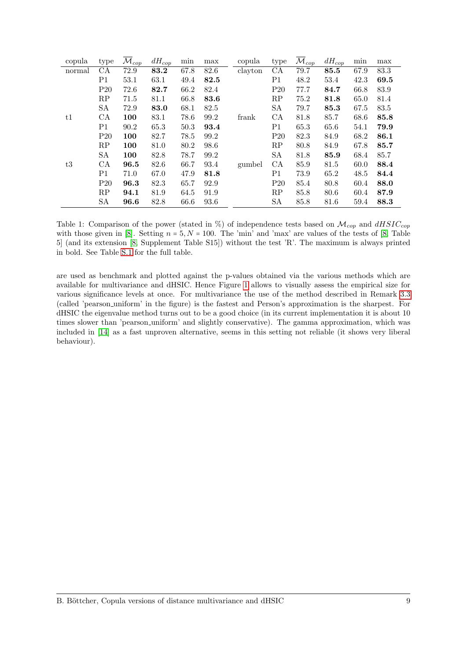<span id="page-8-0"></span>

| copula | type            | $\overline{\mathcal{M}}_{cop}$ | $dH_{cop}$ | $\min$ | max  | copula  | type            | $\overline{\mathcal{M}}_{cop}$ | $dH_{cop}$ | $\min$ | max  |
|--------|-----------------|--------------------------------|------------|--------|------|---------|-----------------|--------------------------------|------------|--------|------|
| normal | CA              | 72.9                           | 83.2       | 67.8   | 82.6 | clayton | CA              | 79.7                           | 85.5       | 67.9   | 83.3 |
|        | P <sub>1</sub>  | 53.1                           | 63.1       | 49.4   | 82.5 |         | P1              | 48.2                           | 53.4       | 42.3   | 69.5 |
|        | P <sub>20</sub> | 72.6                           | 82.7       | 66.2   | 82.4 |         | P <sub>20</sub> | 77.7                           | 84.7       | 66.8   | 83.9 |
|        | RP              | 71.5                           | 81.1       | 66.8   | 83.6 |         | RP              | 75.2                           | 81.8       | 65.0   | 81.4 |
|        | SA              | 72.9                           | 83.0       | 68.1   | 82.5 |         | SА              | 79.7                           | 85.3       | 67.5   | 83.5 |
| t1     | CA              | 100                            | 83.1       | 78.6   | 99.2 | frank   | CA              | 81.8                           | 85.7       | 68.6   | 85.8 |
|        | P <sub>1</sub>  | 90.2                           | 65.3       | 50.3   | 93.4 |         | P <sub>1</sub>  | 65.3                           | 65.6       | 54.1   | 79.9 |
|        | $P_{20}$        | 100                            | 82.7       | 78.5   | 99.2 |         | P <sub>20</sub> | 82.3                           | 84.9       | 68.2   | 86.1 |
|        | RP              | 100                            | 81.0       | 80.2   | 98.6 |         | RP              | 80.8                           | 84.9       | 67.8   | 85.7 |
|        | SA              | 100                            | 82.8       | 78.7   | 99.2 |         | SА              | 81.8                           | 85.9       | 68.4   | 85.7 |
| t3     | CA              | 96.5                           | 82.6       | 66.7   | 93.4 | gumbel  | CA              | 85.9                           | 81.5       | 60.0   | 88.4 |
|        | P1              | 71.0                           | 67.0       | 47.9   | 81.8 |         | P1              | 73.9                           | 65.2       | 48.5   | 84.4 |
|        | P20             | 96.3                           | 82.3       | 65.7   | 92.9 |         | P <sub>20</sub> | 85.4                           | 80.8       | 60.4   | 88.0 |
|        | RP              | 94.1                           | 81.9       | 64.5   | 91.9 |         | RP              | 85.8                           | 80.6       | 60.4   | 87.9 |
|        | SA              | 96.6                           | 82.8       | 66.6   | 93.6 |         | SА              | 85.8                           | 81.6       | 59.4   | 88.3 |

Table 1: Comparison of the power (stated in %) of independence tests based on  $\mathcal{M}_{cop}$  and  $dHSIC_{cop}$ with those given in [\[8\]](#page-12-4). Setting  $n = 5, N = 100$ . The 'min' and 'max' are values of the tests of [\[8,](#page-12-4) Table 5] (and its extension [\[8,](#page-12-4) Supplement Table S15]) without the test 'R'. The maximum is always printed in bold. See Table [S.1](#page-16-0) for the full table.

are used as benchmark and plotted against the p-values obtained via the various methods which are available for multivariance and dHSIC. Hence Figure [1](#page-9-0) allows to visually assess the empirical size for various significance levels at once. For multivariance the use of the method described in Remark [3.3](#page-6-2) (called 'pearson uniform' in the figure) is the fastest and Person's approximation is the sharpest. For dHSIC the eigenvalue method turns out to be a good choice (in its current implementation it is about 10 times slower than 'pearson uniform' and slightly conservative). The gamma approximation, which was included in [\[14\]](#page-12-2) as a fast unproven alternative, seems in this setting not reliable (it shows very liberal behaviour).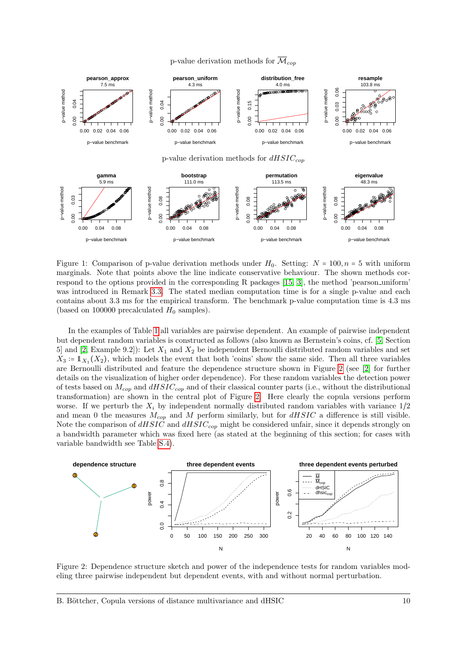<span id="page-9-0"></span>



Figure 1: Comparison of p-value derivation methods under  $H_0$ . Setting:  $N = 100, n = 5$  with uniform marginals. Note that points above the line indicate conservative behaviour. The shown methods correspond to the options provided in the corresponding R packages [\[15,](#page-12-14) [3\]](#page-12-15), the method 'pearson uniform' was introduced in Remark [3.3.](#page-6-2) The stated median computation time is for a single p-value and each contains about 3.3 ms for the empirical transform. The benchmark p-value computation time is 4.3 ms (based on 100000 precalculated  $H_0$  samples).

In the examples of Table [1](#page-8-0) all variables are pairwise dependent. An example of pairwise independent but dependent random variables is constructed as follows (also known as Bernstein's coins, cf. [\[5,](#page-12-0) Section 5] and [\[2,](#page-12-1) Example 9.2]): Let  $X_1$  and  $X_2$  be independent Bernoulli distributed random variables and set  $X_3 := 1_{X_1}(X_2)$ , which models the event that both 'coins' show the same side. Then all three variables are Bernoulli distributed and feature the dependence structure shown in Figure [2](#page-9-1) (see [\[2\]](#page-12-1) for further details on the visualization of higher order dependence). For these random variables the detection power of tests based on  $M_{cop}$  and  $dHSIC_{cop}$  and of their classical counter parts (i.e., without the distributional transformation) are shown in the central plot of Figure [2.](#page-9-1) Here clearly the copula versions perform worse. If we perturb the  $X_i$  by independent normally distributed random variables with variance  $1/2$ and mean 0 the measures  $M_{cop}$  and M perform similarly, but for  $dHSIC$  a difference is still visible. Note the comparison of  $dHSIC$  and  $dHSIC_{cop}$  might be considered unfair, since it depends strongly on a bandwidth parameter which was fixed here (as stated at the beginning of this section; for cases with variable bandwidth see Table [S.4\)](#page-19-0).



<span id="page-9-1"></span>Figure 2: Dependence structure sketch and power of the independence tests for random variables modeling three pairwise independent but dependent events, with and without normal perturbation.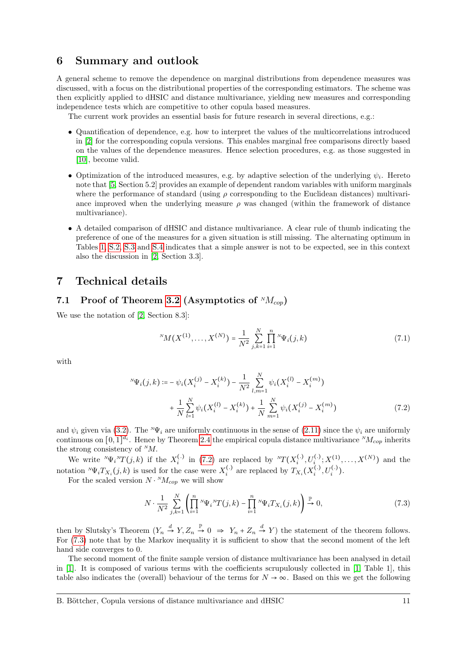#### <span id="page-10-1"></span>6 Summary and outlook

A general scheme to remove the dependence on marginal distributions from dependence measures was discussed, with a focus on the distributional properties of the corresponding estimators. The scheme was then explicitly applied to dHSIC and distance multivariance, yielding new measures and corresponding independence tests which are competitive to other copula based measures.

The current work provides an essential basis for future research in several directions, e.g.:

- Quantification of dependence, e.g. how to interpret the values of the multicorrelations introduced in [\[2\]](#page-12-1) for the corresponding copula versions. This enables marginal free comparisons directly based on the values of the dependence measures. Hence selection procedures, e.g. as those suggested in [\[10\]](#page-12-16), become valid.
- Optimization of the introduced measures, e.g. by adaptive selection of the underlying  $\psi_i$ . Hereto note that [\[5,](#page-12-0) Section 5.2] provides an example of dependent random variables with uniform marginals where the performance of standard (using  $\rho$  corresponding to the Euclidean distances) multivariance improved when the underlying measure  $\rho$  was changed (within the framework of distance multivariance).
- A detailed comparison of dHSIC and distance multivariance. A clear rule of thumb indicating the preference of one of the measures for a given situation is still missing. The alternating optimum in Tables [1,](#page-8-0) [S.2,](#page-17-0) [S.3](#page-18-0) and [S.4](#page-19-0) indicates that a simple answer is not to be expected, see in this context also the discussion in [\[2,](#page-12-1) Section 3.3].

#### <span id="page-10-0"></span>7 Technical details

### 7.1 Proof of Theorem [3.2](#page-5-5) (Asymptotics of  $^{N}M_{cop}$ )

We use the notation of [\[2,](#page-12-1) Section 8.3]:

<span id="page-10-3"></span><span id="page-10-2"></span>
$$
{}^{N}M(X^{(1)},\ldots,X^{(N)}) = \frac{1}{N^2} \sum_{j,k=1}^{N} \prod_{i=1}^{n} {}^{N}\Psi_i(j,k)
$$
\n(7.1)

with

$$
{}^{N}\Psi_{i}(j,k) := -\psi_{i}(X_{i}^{(j)} - X_{i}^{(k)}) - \frac{1}{N^{2}} \sum_{l,m=1}^{N} \psi_{i}(X_{i}^{(l)} - X_{i}^{(m)}) + \frac{1}{N} \sum_{l=1}^{N} \psi_{i}(X_{i}^{(l)} - X_{i}^{(k)}) + \frac{1}{N} \sum_{m=1}^{N} \psi_{i}(X_{i}^{(j)} - X_{i}^{(m)})
$$
\n(7.2)

and  $\psi_i$  given via [\(3.2\)](#page-5-2). The <sup>N</sup>Ψ<sub>i</sub> are uniformly continuous in the sense of [\(2.11\)](#page-3-0) since the  $\psi_i$  are uniformly continuous on  $[0,1]^{d_i}$ . Hence by Theorem [2.4](#page-3-2) the empirical copula distance multivariance  $^{N}M_{cop}$  inherits the strong consistency of  $^{N}M$ .

We write  ${}^N\Psi_i{}^N T(j,k)$  if the  $X_i^{(.)}$  in [\(7.2\)](#page-10-3) are replaced by  ${}^N T(X_i^{(.)}, U_i^{(.)}; X_i^{(1)}, \ldots, X_i^{(N)})$  and the notation  ${}^N\Psi_i T_{X_i}(j,k)$  is used for the case were  $X_i^{(.)}$  are replaced by  $T_{X_i}(X_i^{(.)}, U_i^{(.)})$ .

For the scaled version  $N \cdot {}^{N}M_{cop}$  we will show

<span id="page-10-4"></span>
$$
N \cdot \frac{1}{N^2} \sum_{j,k=1}^{N} \left( \prod_{i=1}^{n} {}^{N} \Psi_i {}^{N} T(j,k) - \prod_{i=1}^{n} {}^{N} \Psi_i T_{X_i}(j,k) \right) \xrightarrow{\mathbb{P}} 0, \tag{7.3}
$$

then by Slutsky's Theorem  $(Y_n \stackrel{d}{\to} Y, Z_n \stackrel{p}{\to} 0 \Rightarrow Y_n + Z_n \stackrel{d}{\to} Y)$  the statement of the theorem follows. For [\(7.3\)](#page-10-4) note that by the Markov inequality it is sufficient to show that the second moment of the left hand side converges to 0.

The second moment of the finite sample version of distance multivariance has been analysed in detail in [\[1\]](#page-12-11). It is composed of various terms with the coefficients scrupulously collected in [\[1,](#page-12-11) Table 1], this table also indicates the (overall) behaviour of the terms for  $N \to \infty$ . Based on this we get the following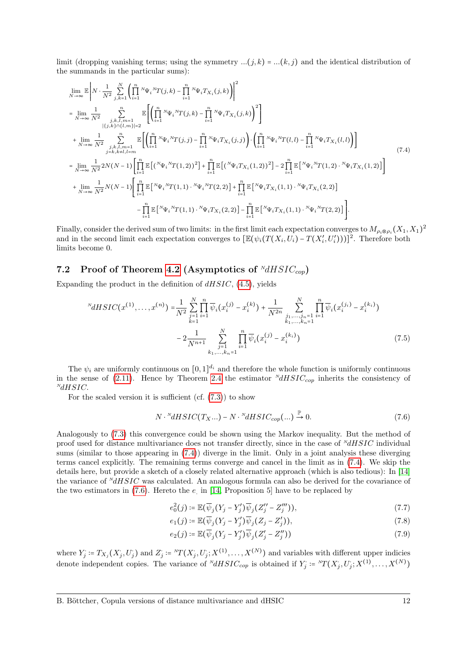limit (dropping vanishing terms; using the symmetry  $...(j,k) = ...(k,j)$  and the identical distribution of the summands in the particular sums):

<span id="page-11-2"></span>
$$
\lim_{N \to \infty} \mathbb{E} \left| N \cdot \frac{1}{N^2} \sum_{j,k=1}^N \left( \prod_{i=1}^n {}^{N} \Psi_i {}^{N} T(j,k) - \prod_{i=1}^n {}^{N} \Psi_i T_{X_i}(j,k) \right) \right|^2
$$
\n
$$
= \lim_{N \to \infty} \frac{1}{N^2} \sum_{\substack{j,k,l,m=1 \\ |\{j,k\} \cap \{l,m\}|=2}}^n \mathbb{E} \left[ \left( \prod_{i=1}^n {}^{N} \Psi_i {}^{N} T(j,k) - \prod_{i=1}^n {}^{N} \Psi_i T_{X_i}(j,k) \right)^2 \right]
$$
\n
$$
+ \lim_{N \to \infty} \frac{1}{N^2} \sum_{\substack{j,k,l,m=1 \\ j=k, k \neq l, l=m}}^n \mathbb{E} \left[ \left( \prod_{i=1}^n {}^{N} \Psi_i {}^{N} T(j,j) - \prod_{i=1}^n {}^{N} \Psi_i T_{X_i}(j,j) \right) \cdot \left( \prod_{i=1}^n {}^{N} \Psi_i {}^{N} T(l,l) - \prod_{i=1}^n {}^{N} \Psi_i T_{X_i}(l,l) \right) \right]
$$
\n
$$
= \lim_{N \to \infty} \frac{1}{N^2} 2N(N-1) \left[ \prod_{i=1}^n \mathbb{E} \left[ ({}^{N} \Psi_i {}^{N} T(1,2))^2 \right] + \prod_{i=1}^n \mathbb{E} \left[ ({}^{N} \Psi_i T_{X_i}(1,2))^2 \right] - 2 \prod_{i=1}^n \mathbb{E} \left[ {}^{N} \Psi_i {}^{N} T(1,2) \cdot {}^{N} \Psi_i T_{X_i}(1,2) \right] \right]
$$
\n
$$
+ \lim_{N \to \infty} \frac{1}{N^2} N(N-1) \left[ \prod_{i=1}^n \mathbb{E} \left[ {}^{N} \Psi_i {}^{N} T(1,1) \cdot {}^{N} \Psi_i {}^{N} T(2,2) \right] + \prod_{i=1}^n \mathbb{E} \left[ {}^{N} \Psi_i T_{X_i}(1,1) \cdot {}^{N} \Psi_i T_{X_i}(2,2) \right] - \prod_{i=1}^n \mathbb{E} \left[
$$

Finally, consider the derived sum of two limits: in the first limit each expectation converges to  $M_{\rho_i \otimes \rho_i}(X_1, X_1)^2$ and in the second limit each expectation converges to  $[\mathbb{E}(\psi_i(T(X_i, U_i) - T(X_i', U_i')))]^2$ . Therefore both limits become 0.

#### <span id="page-11-1"></span>7.2 Proof of Theorem [4.2](#page-6-3) (Asymptotics of  $\frac{NdHSTC_{con}}{dr}$ )

Expanding the product in the definition of  $dHSIC$ , [\(4.5\)](#page-6-1), yields

$$
{}^{N}dHSIC(x^{(1)},...,x^{(n)}) = \frac{1}{N^{2}} \sum_{\substack{j=1 \ i=1}}^{N} \prod_{i=1}^{n} \overline{\psi}_{i}(x_{i}^{(j)} - x_{i}^{(k)}) + \frac{1}{N^{2n}} \sum_{\substack{j_1,...,j_n=1 \ i=1}}^{N} \prod_{i=1}^{n} \overline{\psi}_{i}(x_{i}^{(j_{i})} - x_{i}^{(k_{i})})
$$

$$
-2 \frac{1}{N^{n+1}} \sum_{\substack{j=1 \ k_1,...,k_n=1}}^{N} \prod_{i=1}^{n} \overline{\psi}_{i}(x_{i}^{(j)} - x_{i}^{(k_{i})})
$$
(7.5)

The  $\psi_i$  are uniformly continuous on  $[0,1]^{d_i}$  and therefore the whole function is uniformly continuous in the sense of [\(2.11\)](#page-3-0). Hence by Theorem [2.4](#page-3-2) the estimator  $^{N}dHSIC_{cop}$  inherits the consistency of  $^{N}$ d $HSIC$ .

For the scaled version it is sufficient (cf.  $(7.3)$ ) to show

<span id="page-11-3"></span><span id="page-11-0"></span>
$$
N \cdot {}^{N}dHSIC(T_X...) - N \cdot {}^{N}dHSIC_{cop}(...) \xrightarrow{\mathbb{P}} 0. \tag{7.6}
$$

Analogously to [\(7.3\)](#page-10-4) this convergence could be shown using the Markov inequality. But the method of proof used for distance multivariance does not transfer directly, since in the case of  $^{N}dHSIC$  individual sums (similar to those appearing in [\(7.4\)](#page-11-2)) diverge in the limit. Only in a joint analysis these diverging terms cancel explicitly. The remaining terms converge and cancel in the limit as in [\(7.4\)](#page-11-2). We skip the details here, but provide a sketch of a closely related alternative approach (which is also tedious): In [\[14\]](#page-12-2) the variance of  $^{N}dHSIC$  was calculated. An analogous formula can also be derived for the covariance of the two estimators in  $(7.6)$ . Hereto the  $e$  in  $[14,$  Proposition 5 have to be replaced by

$$
e_0^2(j) \coloneqq \mathbb{E}(\overline{\psi}_j(Y_j - Y_j')\overline{\psi}_j(Z_j'' - Z_j''')),
$$
\n
$$
(7.7)
$$

$$
e_1(j) \coloneqq \mathbb{E}(\overline{\psi}_j(Y_j - Y_j')\overline{\psi}_j(Z_j - Z_j')), \tag{7.8}
$$

$$
e_2(j) \coloneqq \mathbb{E}(\overline{\psi}_j(Y_j - Y_j')\overline{\psi}_j(Z_j' - Z_j'')) \tag{7.9}
$$

where  $Y_j := T_{X_j}(X_j, U_j)$  and  $Z_j := {}^N T(X_j, U_j; X^{(1)}, \ldots, X^{(N)})$  and variables with different upper indicies denote independent copies. The variance of  $^{N}dHSIC_{cop}$  is obtained if  $Y_j := {}^{N}T(X_j, U_j; X^{(1)}, \ldots, X^{(N)})$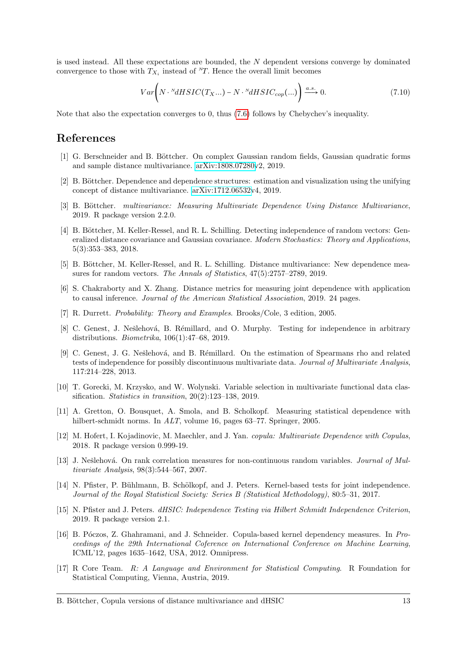is used instead. All these expectations are bounded, the N dependent versions converge by dominated convergence to those with  $T_{X_i}$  instead of  $\mathbb{Z}$ . Hence the overall limit becomes

$$
Var\bigg(N \cdot {}^{N}dHSIC(T_{X}...)-N \cdot {}^{N}dHSIC_{cop}(...)\bigg) \xrightarrow{a.s.} 0.
$$
\n(7.10)

Note that also the expectation converges to 0, thus [\(7.6\)](#page-11-3) follows by Chebychev's inequality.

#### References

- <span id="page-12-11"></span>[1] G. Berschneider and B. Böttcher. On complex Gaussian random fields, Gaussian quadratic forms and sample distance multivariance. [arXiv:1808.07280v](http://arxiv.org/abs/1808.07280)2, 2019.
- <span id="page-12-1"></span>[2] B. Böttcher. Dependence and dependence structures: estimation and visualization using the unifying concept of distance multivariance. [arXiv:1712.06532v](http://arxiv.org/abs/1712.06532)4, 2019.
- <span id="page-12-15"></span>[3] B. Böttcher. multivariance: Measuring Multivariate Dependence Using Distance Multivariance, 2019. R package version 2.2.0.
- <span id="page-12-10"></span>[4] B. Böttcher, M. Keller-Ressel, and R. L. Schilling. Detecting independence of random vectors: Generalized distance covariance and Gaussian covariance. Modern Stochastics: Theory and Applications, 5(3):353–383, 2018.
- <span id="page-12-0"></span>[5] B. Böttcher, M. Keller-Ressel, and R. L. Schilling. Distance multivariance: New dependence measures for random vectors. The Annals of Statistics, 47(5):2757–2789, 2019.
- <span id="page-12-7"></span>[6] S. Chakraborty and X. Zhang. Distance metrics for measuring joint dependence with application to causal inference. Journal of the American Statistical Association, 2019. 24 pages.
- <span id="page-12-9"></span>[7] R. Durrett. Probability: Theory and Examples. Brooks/Cole, 3 edition, 2005.
- <span id="page-12-4"></span>[8] C. Genest, J. Nešlehová, B. Rémillard, and O. Murphy. Testing for independence in arbitrary distributions. Biometrika, 106(1):47–68, 2019.
- <span id="page-12-5"></span>[9] C. Genest, J. G. Nešlehová, and B. Rémillard. On the estimation of Spearmans rho and related tests of independence for possibly discontinuous multivariate data. Journal of Multivariate Analysis, 117:214–228, 2013.
- <span id="page-12-16"></span>[10] T. Gorecki, M. Krzysko, and W. Wolynski. Variable selection in multivariate functional data classification. Statistics in transition, 20(2):123-138, 2019.
- <span id="page-12-3"></span>[11] A. Gretton, O. Bousquet, A. Smola, and B. Scholkopf. Measuring statistical dependence with hilbert-schmidt norms. In *ALT*, volume 16, pages 63–77. Springer, 2005.
- <span id="page-12-13"></span>[12] M. Hofert, I. Kojadinovic, M. Maechler, and J. Yan. copula: Multivariate Dependence with Copulas, 2018. R package version 0.999-19.
- <span id="page-12-6"></span>[13] J. Nešlehová. On rank correlation measures for non-continuous random variables. Journal of Multivariate Analysis, 98(3):544–567, 2007.
- <span id="page-12-2"></span>[14] N. Pfister, P. Bühlmann, B. Schölkopf, and J. Peters. Kernel-based tests for joint independence. Journal of the Royal Statistical Society: Series B (Statistical Methodology), 80:5–31, 2017.
- <span id="page-12-14"></span>[15] N. Pfister and J. Peters. dHSIC: Independence Testing via Hilbert Schmidt Independence Criterion, 2019. R package version 2.1.
- <span id="page-12-8"></span>[16] B. Póczos, Z. Ghahramani, and J. Schneider. Copula-based kernel dependency measures. In Proceedings of the 29th International Coference on International Conference on Machine Learning, ICML'12, pages 1635–1642, USA, 2012. Omnipress.
- <span id="page-12-12"></span>[17] R Core Team. R: A Language and Environment for Statistical Computing. R Foundation for Statistical Computing, Vienna, Austria, 2019.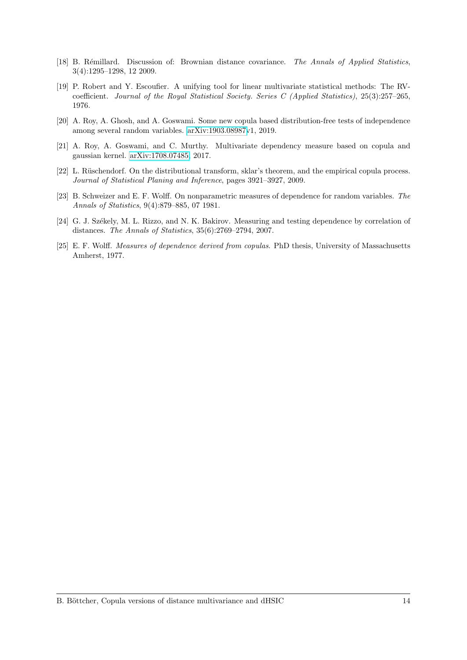- <span id="page-13-3"></span>[18] B. Rémillard. Discussion of: Brownian distance covariance. The Annals of Applied Statistics, 3(4):1295–1298, 12 2009.
- <span id="page-13-0"></span>[19] P. Robert and Y. Escoufier. A unifying tool for linear multivariate statistical methods: The RVcoefficient. Journal of the Royal Statistical Society. Series C (Applied Statistics), 25(3):257–265, 1976.
- <span id="page-13-5"></span>[20] A. Roy, A. Ghosh, and A. Goswami. Some new copula based distribution-free tests of independence among several random variables. [arXiv:1903.08987v](http://arxiv.org/abs/1903.08987)1, 2019.
- <span id="page-13-4"></span>[21] A. Roy, A. Goswami, and C. Murthy. Multivariate dependency measure based on copula and gaussian kernel. [arXiv:1708.07485,](http://arxiv.org/abs/1708.07485) 2017.
- <span id="page-13-6"></span>[22] L. Rüschendorf. On the distributional transform, sklar's theorem, and the empirical copula process. Journal of Statistical Planing and Inference, pages 3921–3927, 2009.
- <span id="page-13-7"></span>[23] B. Schweizer and E. F. Wolff. On nonparametric measures of dependence for random variables. The Annals of Statistics, 9(4):879–885, 07 1981.
- <span id="page-13-1"></span>[24] G. J. Székely, M. L. Rizzo, and N. K. Bakirov. Measuring and testing dependence by correlation of distances. The Annals of Statistics, 35(6):2769–2794, 2007.
- <span id="page-13-2"></span>[25] E. F. Wolff. Measures of dependence derived from copulas. PhD thesis, University of Massachusetts Amherst, 1977.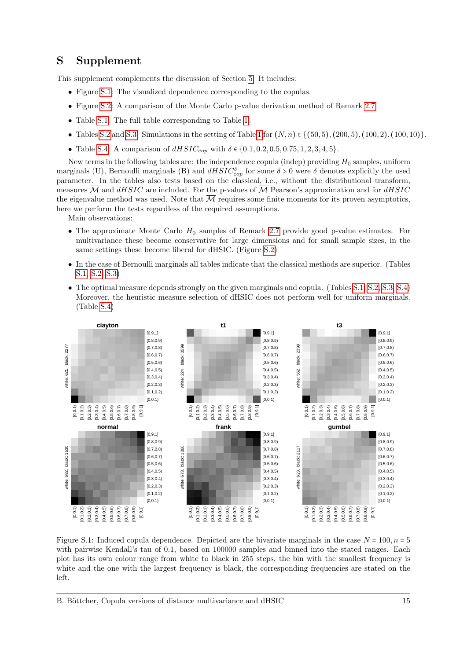## <span id="page-14-0"></span>S Supplement

This supplement complements the discussion of Section [5.](#page-7-0) It includes:

- Figure [S.1:](#page-14-1) The visualized dependence corresponding to the copulas.
- Figure [S.2:](#page-15-0) A comparison of the Monte Carlo p-value derivation method of Remark [2.7.](#page-4-1)
- Table [S.1:](#page-16-0) The full table corresponding to Table [1.](#page-8-0)
- Tables [S.2](#page-17-0) and [S.3:](#page-18-0) Simulations in the setting of Table [1](#page-8-0) for  $(N, n) \in \{(50, 5), (200, 5), (100, 2), (100, 10)\}$ .
- Table [S.4:](#page-19-0) A comparison of  $dHSIC_{cop}$  with  $\delta \in \{0.1, 0.2, 0.5, 0.75, 1, 2, 3, 4, 5\}.$

New terms in the following tables are: the independence copula (indep) providing  $H_0$  samples, uniform marginals (U), Bernoulli marginals (B) and  $dHSIC_{cop}^{\delta}$  for some  $\delta > 0$  were  $\delta$  denotes explicitly the used parameter. In the tables also tests based on the classical, i.e., without the distributional transform, measures  $\overline{M}$  and  $dHSIC$  are included. For the p-values of  $\overline{M}$  Pearson's approximation and for  $dHSIC$ the eigenvalue method was used. Note that  $\overline{\mathcal{M}}$  requires some finite moments for its proven asymptotics, here we perform the tests regardless of the required assumptions.

Main observations:

- The approximate Monte Carlo  $H_0$  samples of Remark [2.7](#page-4-1) provide good p-value estimates. For multivariance these become conservative for large dimensions and for small sample sizes, in the same settings these become liberal for dHSIC. (Figure [S.2\)](#page-15-0)
- In the case of Bernoulli marginals all tables indicate that the classical methods are superior. (Tables [S.1,](#page-16-0) [S.2,](#page-17-0) [S.3\)](#page-18-0)
- The optimal measure depends strongly on the given marginals and copula. (Tables [S.1,](#page-16-0) [S.2,](#page-17-0) [S.3,](#page-18-0) [S.4\)](#page-19-0) Moreover, the heuristic measure selection of dHSIC does not perform well for uniform marginals. (Table [S.4\)](#page-19-0)



<span id="page-14-1"></span>Figure S.1: Induced copula dependence. Depicted are the bivariate marginals in the case  $N = 100, n = 5$ with pairwise Kendall's tau of 0.1, based on 100000 samples and binned into the stated ranges. Each plot has its own colour range from white to black in 255 steps, the bin with the smallest frequency is white and the one with the largest frequency is black, the corresponding frequencies are stated on the left.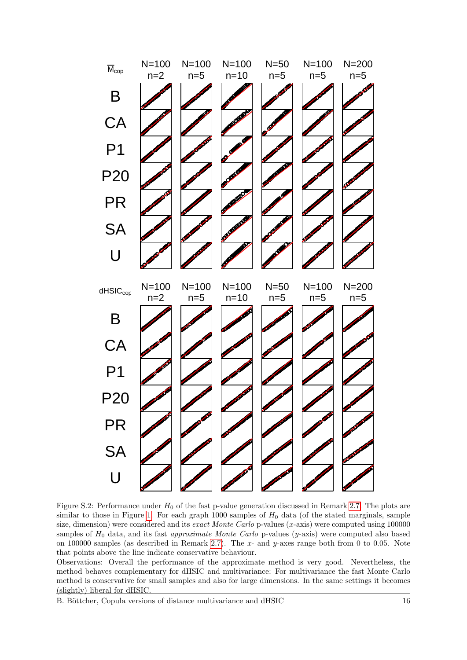

<span id="page-15-0"></span>Figure S.2: Performance under  $H_0$  of the fast p-value generation discussed in Remark [2.7.](#page-4-1) The plots are similar to those in Figure [1.](#page-9-0) For each graph 1000 samples of  $H_0$  data (of the stated marginals, sample size, dimension) were considered and its *exact Monte Carlo* p-values  $(x$ -axis) were computed using 100000 samples of  $H_0$  data, and its fast *approximate Monte Carlo* p-values (y-axis) were computed also based on 100000 samples (as described in Remark [2.7\)](#page-4-1). The  $x$ - and  $y$ -axes range both from 0 to 0.05. Note that points above the line indicate conservative behaviour.

Observations: Overall the performance of the approximate method is very good. Nevertheless, the method behaves complementary for dHSIC and multivariance: For multivariance the fast Monte Carlo method is conservative for small samples and also for large dimensions. In the same settings it becomes (slightly) liberal for dHSIC.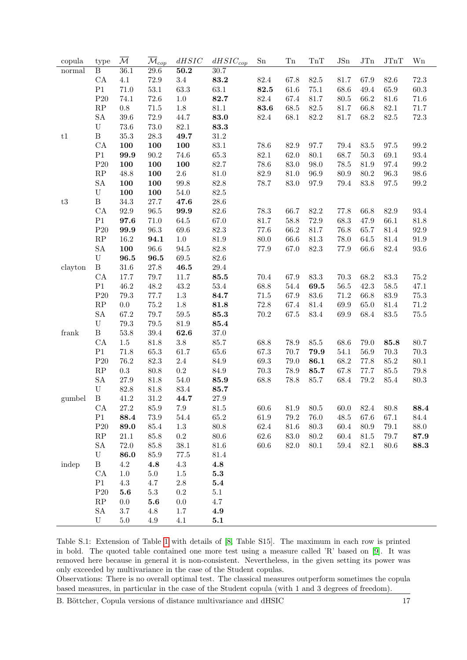| copula                     | type                      | $\overline{\mathcal{M}}$ | $\overline{\mathcal{M}}_{cop}$ | dHSIC     | $dHSIC_{cop}$ | Sn       | ${\rm Tn}$ | $\rm{Tr} \mathbf{T}$ | JSn      | JTn      | JTnT     | Wn       |
|----------------------------|---------------------------|--------------------------|--------------------------------|-----------|---------------|----------|------------|----------------------|----------|----------|----------|----------|
| normal                     | Β                         | 36.1                     | $29.6\,$                       | 50.2      | 30.7          |          |            |                      |          |          |          |          |
|                            | CA                        | 4.1                      | 72.9                           | $3.4\,$   | 83.2          | 82.4     | 67.8       | $82.5\,$             | 81.7     | 67.9     | 82.6     | $72.3\,$ |
|                            | P1                        | 71.0                     | 53.1                           | 63.3      | 63.1          | 82.5     | 61.6       | $75.1\,$             | 68.6     | 49.4     | 65.9     | $60.3\,$ |
|                            | P20                       | 74.1                     | 72.6                           | 1.0       | 82.7          | $82.4\,$ | 67.4       | 81.7                 | 80.5     | 66.2     | 81.6     | $71.6\,$ |
|                            | RP                        | 0.8                      | $71.5\,$                       | $1.8\,$   | 81.1          | 83.6     | 68.5       | $82.5\,$             | 81.7     | 66.8     | 82.1     | 71.7     |
|                            | <b>SA</b>                 | 39.6                     | 72.9                           | 44.7      | 83.0          | $82.4\,$ | 68.1       | $82.2\,$             | 81.7     | 68.2     | $82.5\,$ | $72.3\,$ |
|                            | ${\bf U}$                 | 73.6                     | 73.0                           | $82.1\,$  | 83.3          |          |            |                      |          |          |          |          |
| t1                         | $\, {\bf B}$              | $35.3\,$                 | $28.3\,$                       | 49.7      | 31.2          |          |            |                      |          |          |          |          |
|                            | CA                        | 100                      | 100                            | 100       | $83.1\,$      | 78.6     | 82.9       | 97.7                 | 79.4     | 83.5     | $97.5\,$ | $99.2\,$ |
|                            | P1                        | 99.9                     | 90.2                           | $74.6\,$  | $65.3\,$      | $82.1\,$ | 62.0       | $80.1\,$             | 68.7     | $50.3\,$ | 69.1     | $93.4\,$ |
|                            | P20                       | 100                      | 100                            | 100       | 82.7          | 78.6     | 83.0       | 98.0                 | 78.5     | 81.9     | 97.4     | $99.2\,$ |
|                            | $\mathbf{RP}$             | 48.8                     | 100                            | $2.6\,$   | 81.0          | $82.9\,$ | 81.0       | 96.9                 | 80.9     | $80.2\,$ | 96.3     | $98.6\,$ |
|                            | <b>SA</b>                 | 100                      | 100                            | 99.8      | 82.8          | 78.7     | $83.0\,$   | 97.9                 | 79.4     | 83.8     | $97.5\,$ | $99.2\,$ |
|                            | $\ensuremath{\mathrm{U}}$ | 100                      | 100                            | $54.0\,$  | $82.5\,$      |          |            |                      |          |          |          |          |
| $\ensuremath{\mathrm{t3}}$ | $\, {\bf B}$              | $34.3\,$                 | $27.7\,$                       | 47.6      | $28.6\,$      |          |            |                      |          |          |          |          |
|                            | CA                        | 92.9                     | 96.5                           | 99.9      | $82.6\,$      | 78.3     | 66.7       | $82.2\,$             | 77.8     | 66.8     | $82.9\,$ | $93.4\,$ |
|                            | P1                        | 97.6                     | $71.0\,$                       | $64.5\,$  | 67.0          | $81.7\,$ | 58.8       | $72.9\,$             | 68.3     | 47.9     | 66.1     | $81.8\,$ |
|                            | P20                       | 99.9                     | $96.3\,$                       | $69.6\,$  | $82.3\,$      | 77.6     | 66.2       | $81.7\,$             | 76.8     | 65.7     | $81.4\,$ | $92.9\,$ |
|                            | $\mathbf{RP}$             | 16.2                     | 94.1                           | $1.0\,$   | 81.9          | 80.0     | 66.6       | $81.3\,$             | 78.0     | 64.5     | $81.4\,$ | $91.9\,$ |
|                            | ${\rm SA}$                | 100                      | 96.6                           | $94.5\,$  | 82.8          | $77.9\,$ | 67.0       | $82.3\,$             | 77.9     | 66.6     | $82.4\,$ | $93.6\,$ |
|                            | U                         | 96.5                     | 96.5                           | $69.5\,$  | 82.6          |          |            |                      |          |          |          |          |
| clayton                    | $\, {\bf B}$              | 31.6                     | $27.8\,$                       | 46.5      | $29.4\,$      |          |            |                      |          |          |          |          |
|                            | CA                        | 17.7                     | $79.7\,$                       | 11.7      | 85.5          | 70.4     | 67.9       | $83.3\,$             | 70.3     | 68.2     | $83.3\,$ | $75.2\,$ |
|                            | P1                        | 46.2                     | 48.2                           | $43.2\,$  | $53.4\,$      | 68.8     | 54.4       | 69.5                 | 56.5     | 42.3     | $58.5\,$ | 47.1     |
|                            | P20                       | 79.3                     | 77.7                           | $1.3\,$   | 84.7          | $71.5\,$ | 67.9       | $83.6\,$             | 71.2     | 66.8     | $83.9\,$ | $75.3\,$ |
|                            | $\mathbf{RP}$             | 0.0                      | 75.2                           | $1.8\,$   | 81.8          | 72.8     | 67.4       | $81.4\,$             | 69.9     | 65.0     | $81.4\,$ | $71.2\,$ |
|                            | ${\rm SA}$                | 67.2                     | 79.7                           | $59.5\,$  | 85.3          | $70.2\,$ | 67.5       | $83.4\,$             | 69.9     | 68.4     | $83.5\,$ | $75.5\,$ |
|                            | $\ensuremath{\mathrm{U}}$ | 79.3                     | $79.5\,$                       | $81.9\,$  | 85.4          |          |            |                      |          |          |          |          |
| frank                      | $\, {\bf B}$              | $53.8\,$                 | $39.4\,$                       | 62.6      | $37.0\,$      |          |            |                      |          |          |          |          |
|                            | CA                        | $1.5\,$                  | 81.8                           | $3.8\,$   | 85.7          | 68.8     | 78.9       | $85.5\,$             | 68.6     | 79.0     | 85.8     | $80.7\,$ |
|                            | P <sub>1</sub>            | 71.8                     | $65.3\,$                       | $61.7\,$  | 65.6          | 67.3     | 70.7       | 79.9                 | 54.1     | 56.9     | $70.3\,$ | $70.3\,$ |
|                            | P20                       | 76.2                     | $82.3\,$                       | $2.4\,$   | 84.9          | $69.3\,$ | 79.0       | 86.1                 | 68.2     | 77.8     | $85.2\,$ | $80.1\,$ |
|                            | RP                        | $\rm 0.3$                | 80.8                           | $\rm 0.2$ | $84.9\,$      | $70.3\,$ | $78.9\,$   | 85.7                 | 67.8     | 77.7     | $85.5\,$ | $79.8\,$ |
|                            | <b>SA</b>                 | 27.9                     | $81.8\,$                       | $54.0\,$  | 85.9          | 68.8     | 78.8       | 85.7                 | 68.4     | 79.2     | $85.4\,$ | $80.3\,$ |
|                            | $\mathbf U$               | 82.8                     | $81.8\,$                       | $83.4\,$  | 85.7          |          |            |                      |          |          |          |          |
| gumbel                     | $\, {\bf B}$              | 41.2                     | $31.2\,$                       | 44.7      | 27.9          |          |            |                      |          |          |          |          |
|                            | ${\rm CA}$                | $27.2\,$                 | $85.9\,$                       | $7.9\,$   | $81.5\,$      | $60.6\,$ | $81.9\,$   | $80.5\,$             | $60.0\,$ | $82.4\,$ | 80.8     | 88.4     |
|                            | P1                        | 88.4                     | $73.9\,$                       | 54.4      | 65.2          | 61.9     | 79.2       | 76.0                 | 48.5     | 67.6     | 67.1     | 84.4     |
|                            | P20                       | 89.0                     | 85.4                           | $1.3\,$   | 80.8          | $62.4\,$ | $81.6\,$   | 80.3                 | $60.4\,$ | 80.9     | $79.1\,$ | $88.0\,$ |
|                            | $\mathbf{RP}$             | 21.1                     | 85.8                           | $\rm 0.2$ | $80.6\,$      | 62.6     | $83.0\,$   | $80.2\,$             | $60.4\,$ | 81.5     | 79.7     | 87.9     |
|                            | <b>SA</b>                 | 72.0                     | $85.8\,$                       | $38.1\,$  | $81.6\,$      | 60.6     | $82.0\,$   | 80.1                 | 59.4     | $82.1\,$ | $80.6\,$ | 88.3     |
|                            | ${\bf U}$                 | 86.0                     | $85.9\,$                       | $77.5\,$  | 81.4          |          |            |                      |          |          |          |          |
| indep                      | $\, {\bf B}$              | $4.2\,$                  | $\bf 4.8$                      | $4.3\,$   | 4.8           |          |            |                      |          |          |          |          |
|                            | CA                        | 1.0                      | $5.0\,$                        | $1.5\,$   | 5.3           |          |            |                      |          |          |          |          |
|                            | P1                        | $4.3\,$                  | $4.7\,$                        | $2.8\,$   | 5.4           |          |            |                      |          |          |          |          |
|                            | P20                       | 5.6                      | $5.3\,$                        | $\rm 0.2$ | 5.1           |          |            |                      |          |          |          |          |
|                            | $\mathbf{RP}$             | 0.0                      | $\bf 5.6$                      | $0.0\,$   | 4.7           |          |            |                      |          |          |          |          |
|                            | ${\rm SA}$                | $3.7\,$                  | $4.8\,$                        | $1.7\,$   | 4.9           |          |            |                      |          |          |          |          |
|                            | U                         | $5.0\,$                  | 4.9                            | 4.1       | 5.1           |          |            |                      |          |          |          |          |

<span id="page-16-0"></span>Table S.1: Extension of Table [1](#page-8-0) with details of [\[8,](#page-12-4) Table S15]. The maximum in each row is printed in bold. The quoted table contained one more test using a measure called 'R' based on [\[9\]](#page-12-5). It was removed here because in general it is non-consistent. Nevertheless, in the given setting its power was only exceeded by multivariance in the case of the Student copulas.

Observations: There is no overall optimal test. The classical measures outperform sometimes the copula based measures, in particular in the case of the Student copula (with 1 and 3 degrees of freedom).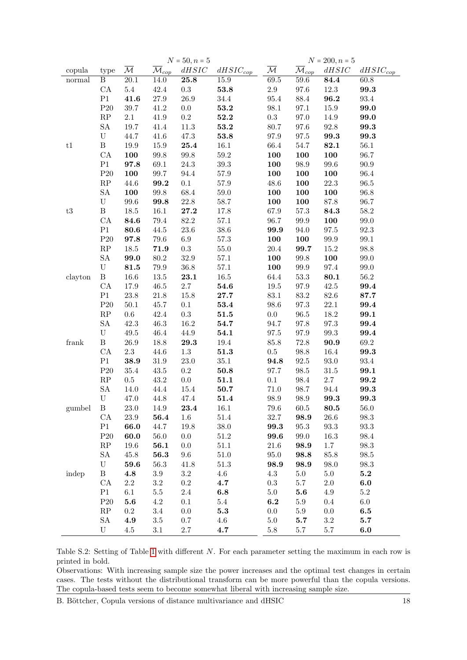<span id="page-17-0"></span>

|                            |                           |                          |                                | $N = 50, n = 5$ |                     | $N = 200, n = 5$         |                                |            |               |  |
|----------------------------|---------------------------|--------------------------|--------------------------------|-----------------|---------------------|--------------------------|--------------------------------|------------|---------------|--|
| copula                     | type                      | $\overline{\mathcal{M}}$ | $\overline{\mathcal{M}}_{cop}$ | $dHSIC$         | $dHSIC_{cop}$       | $\overline{\mathcal{M}}$ | $\overline{\mathcal{M}}_{cop}$ | $dHSIC$    | $dHSIC_{cop}$ |  |
| normal                     | Β                         | $\overline{20.1}$        | 14.0                           | 25.8            | 15.9                | $\overline{69.5}$        | 59.6                           | 84.4       | 60.8          |  |
|                            | ${\rm CA}$                | $5.4\,$                  | $42.4\,$                       | $\rm 0.3$       | $\bf 53.8$          | $2.9\,$                  | $97.6\,$                       | $12.3\,$   | 99.3          |  |
|                            | P1                        | 41.6                     | $27.9\,$                       | $26.9\,$        | $34.4\,$            | $95.4\,$                 | 88.4                           | 96.2       | $93.4\,$      |  |
|                            | $\mathrm{P}20$            | $39.7\,$                 | 41.2                           | $0.0\,$         | 53.2                | $98.1\,$                 | $97.1\,$                       | 15.9       | 99.0          |  |
|                            | $\mathbf{RP}$             | $2.1\,$                  | 41.9                           | $\rm 0.2$       | 52.2                | $\rm 0.3$                | 97.0                           | 14.9       | 99.0          |  |
|                            | SA                        | 19.7                     | 41.4                           | $11.3\,$        | 53.2                | $80.7\,$                 | $97.6\,$                       | $92.8\,$   | 99.3          |  |
|                            | $\mathbf U$               | 44.7                     | 41.6                           | $47.3\,$        | 53.8                | $97.9\,$                 | $97.5\,$                       | 99.3       | 99.3          |  |
| t1                         | $\, {\bf B}$              | 19.9                     | $15.9\,$                       | $\bf 25.4$      | $16.1\,$            | 66.4                     | 54.7                           | 82.1       | 56.1          |  |
|                            | ${\rm CA}$                | 100                      | $99.8\,$                       | $99.8\,$        | $59.2\,$            | 100                      | 100                            | 100        | 96.7          |  |
|                            | P1                        | 97.8                     | $69.1\,$                       | $24.3\,$        | $39.3\,$            | 100                      | $98.9\,$                       | $99.6\,$   | $90.9\,$      |  |
|                            | P20                       | 100                      | 99.7                           | 94.4            | $57.9\,$            | 100                      | 100                            | 100        | 96.4          |  |
|                            | $\mathbf{RP}$             | 44.6                     | 99.2                           | $0.1\,$         | $57.9\,$            | 48.6                     | 100                            | $22.3\,$   | $96.5\,$      |  |
|                            | SA                        | 100                      | $99.8\,$                       | $68.4\,$        | $59.0\,$            | 100                      | 100                            | 100        | 96.8          |  |
|                            | $\mathbf U$               | $99.6\,$                 | 99.8                           | $22.8\,$        | 58.7                | 100                      | 100                            | $87.8\,$   | 96.7          |  |
| $\ensuremath{\mathrm{t3}}$ | $\, {\bf B}$              | $18.5\,$                 | $16.1\,$                       | 27.2            | 17.8                | 67.9                     | $57.3\,$                       | 84.3       | $58.2\,$      |  |
|                            | ${\rm CA}$                | 84.6                     | $79.4\,$                       | $82.2\,$        | $57.1\,$            | 96.7                     | $99.9\,$                       | 100        | $99.0\,$      |  |
|                            | P1                        | 80.6                     | 44.5                           | $23.6\,$        | $38.6\,$            | 99.9                     | 94.0                           | $97.5\,$   | 92.3          |  |
|                            | P20                       | 97.8                     | $79.6\,$                       | $6.9\,$         | $57.3\,$            | 100                      | 100                            | $99.9\,$   | $99.1\,$      |  |
|                            | $\mathbf{RP}$             | 18.5                     | 71.9                           | $\rm 0.3$       | $55.0\,$            | $20.4\,$                 | 99.7                           | $15.2\,$   | 98.8          |  |
|                            | ${\rm SA}$                | 99.0                     | 80.2                           | $32.9\,$        | $57.1\,$            | 100                      | 99.8                           | 100        | $99.0\,$      |  |
|                            | $\mathbf U$               | 81.5                     | $79.9\,$                       | $36.8\,$        | $57.1\,$            | 100                      | 99.9                           | 97.4       | $99.0\,$      |  |
| clayton                    | $\, {\bf B}$              | $16.6\,$                 | $13.5\,$                       | $\bf 23.1$      | $16.5\,$            | $64.4\,$                 | $53.3\,$                       | 80.1       | $56.2\,$      |  |
|                            | ${\rm CA}$                | 17.9                     | $46.5\,$                       | $2.7\,$         | 54.6                | $19.5\,$                 | $97.9\,$                       | $42.5\,$   | 99.4          |  |
|                            | P1                        | 23.8                     | $21.8\,$                       | 15.8            | 27.7                | $83.1\,$                 | $83.2\,$                       | $82.6\,$   | 87.7          |  |
|                            | P20                       | $50.1\,$                 | 45.7                           | 0.1             | 53.4                | 98.6                     | 97.3                           | $22.1\,$   | 99.4          |  |
|                            | $\mathbf{RP}$             | $0.6\,$                  | 42.4                           | $\rm 0.3$       | 51.5                | $0.0\,$                  | $96.5\,$                       | 18.2       | 99.1          |  |
|                            | ${\rm SA}$                | 42.3                     | 46.3                           | 16.2            | 54.7                | 94.7                     | 97.8                           | $97.3\,$   | 99.4          |  |
|                            | $\mathbf U$               | $\rm 49.5$               | $46.4\,$                       | 44.9            | 54.1                | $97.5\,$                 | $97.9\,$                       | $99.3\,$   | 99.4          |  |
| frank                      | $\, {\bf B}$              | $26.9\,$                 | 18.8                           | $\bf 29.3$      | $19.4\,$            | 85.8                     | 72.8                           | 90.9       | 69.2          |  |
|                            | ${\rm CA}$                | $2.3\,$                  | 44.6                           | $1.3\,$         | 51.3                | $0.5\,$                  | $98.8\,$                       | 16.4       | 99.3          |  |
|                            | P1                        | 38.9                     | $31.9\,$                       | $23.0\,$        | $35.1\,$            | 94.8                     | $92.5\,$                       | $93.0\,$   | $93.4\,$      |  |
|                            | P20                       | $35.4\,$                 | $43.5\,$                       | $\rm 0.2$       | 50.8                | 97.7                     | $98.5\,$                       | $31.5\,$   | 99.1          |  |
|                            | $\mathbf{RP}$             | $0.5\,$                  | 43.2                           | $0.0\,$         | $\boldsymbol{51.1}$ | 0.1                      | $98.4\,$                       | $2.7\,$    | 99.2          |  |
|                            | <b>SA</b>                 | 14.0                     | 44.4                           | 15.4            | 50.7                | $71.0\,$                 | 98.7                           | 94.4       | 99.3          |  |
|                            | $\ensuremath{\mathrm{U}}$ | 47.0                     | 44.8                           | 47.4            | 51.4                | 98.9                     | 98.9                           | 99.3       | 99.3          |  |
| gumbel                     | $\mathbf{B}$              | 23.0                     | 14.9                           | 23.4            | 16.1                | 79.6                     | 60.5                           | $\bf 80.5$ | $56.0\,$      |  |
|                            | CA                        | 23.9                     | 56.4                           | 1.6             | $51.4\,$            | 32.7                     | 98.9                           | 26.6       | 98.3          |  |
|                            | P1                        | 66.0                     | 44.7                           | 19.8            | $38.0\,$            | 99.3                     | $95.3\,$                       | $93.3\,$   | $93.3\,$      |  |
|                            | P20                       | 60.0                     | 56.0                           | $0.0\,$         | $51.2\,$            | 99.6                     | 99.0                           | 16.3       | 98.4          |  |
|                            | $\rm RP$                  | 19.6                     | ${\bf 56.1}$                   | $0.0\,$         | $51.1\,$            | 21.6                     | 98.9                           | 1.7        | 98.3          |  |
|                            | <b>SA</b>                 | $45.8\,$                 | 56.3                           | $\,9.6$         | $51.0\,$            | 95.0                     | 98.8                           | 85.8       | 98.5          |  |
|                            | $\mathbf U$               | 59.6                     | 56.3                           | 41.8            | 51.3                | 98.9                     | 98.9                           | 98.0       | 98.3          |  |
| indep                      | $\, {\bf B}$              | 4.8                      | $3.9\,$                        | $3.2\,$         | $4.6\,$             | $4.3\,$                  | $5.0\,$                        | $5.0\,$    | 5.2           |  |
|                            | CA                        | $2.2\,$                  | $\!3.2\!$                      | $\rm 0.2$       | 4.7                 | $\rm 0.3$                | 5.7                            | $2.0\,$    | 6.0           |  |
|                            | P1                        | 6.1                      | $5.5\,$                        | $2.4\,$         | 6.8                 | $5.0\,$                  | 5.6                            | 4.9        | $5.2\,$       |  |
|                            | P20                       | 5.6                      | 4.2                            | $0.1\,$         | $5.4\,$             | 6.2                      | 5.9                            | 0.4        | $6.0\,$       |  |
|                            | $\mathbf{RP}$             | $\rm 0.2$                | $3.4\,$                        | $0.0\,$         | $\bf 5.3$           | $0.0\,$                  | 5.9                            | 0.0        | 6.5           |  |
|                            | <b>SA</b>                 | 4.9                      | $3.5\,$                        | $0.7\,$         | 4.6                 | $5.0\,$                  | 5.7                            | $3.2\,$    | 5.7           |  |
|                            | $\mathbf U$               | 4.5                      | $3.1\,$                        | $2.7\,$         | 4.7                 | $5.8\,$                  | $5.7\,$                        | 5.7        | 6.0           |  |

Table S.2: Setting of Table [1](#page-8-0) with different N. For each parameter setting the maximum in each row is printed in bold.

Observations: With increasing sample size the power increases and the optimal test changes in certain cases. The tests without the distributional transform can be more powerful than the copula versions. The copula-based tests seem to become somewhat liberal with increasing sample size.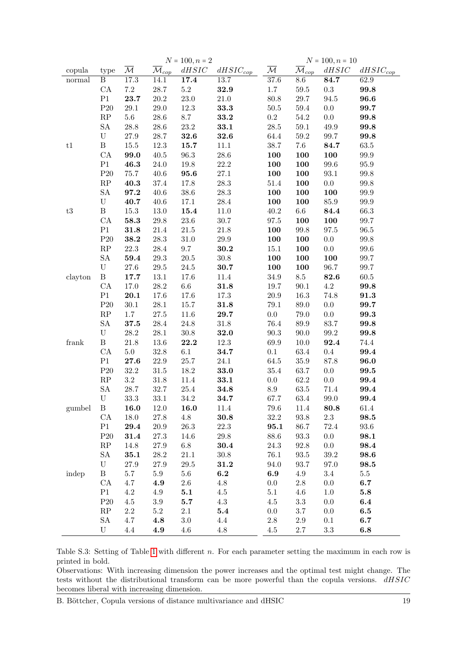<span id="page-18-0"></span>

|                            |                           |                          |                                | $N = 100, n = 2$ |               | $N = 100, n = 10$        |                                |            |               |  |
|----------------------------|---------------------------|--------------------------|--------------------------------|------------------|---------------|--------------------------|--------------------------------|------------|---------------|--|
| copula                     | type                      | $\overline{\mathcal{M}}$ | $\overline{\mathcal{M}}_{cop}$ | dHSIC            | $dHSIC_{cop}$ | $\overline{\mathcal{M}}$ | $\overline{\mathcal{M}}_{cop}$ | dHSIC      | $dHSIC_{cop}$ |  |
| normal                     | $\, {\bf B}$              | 17.3                     | 14.1                           | 17.4             | 13.7          | $37.6\,$                 | 8.6                            | 84.7       | 62.9          |  |
|                            | ${\rm CA}$                | $7.2\,$                  | $28.7\,$                       | $5.2\,$          | $32.9\,$      | $1.7\,$                  | $59.5\,$                       | $\rm 0.3$  | 99.8          |  |
|                            | P1                        | 23.7                     | $20.2\,$                       | $23.0\,$         | $21.0\,$      | $80.8\,$                 | $29.7\,$                       | 94.5       | 96.6          |  |
|                            | $\mathrm{P}20$            | $29.1\,$                 | $29.0\,$                       | $12.3\,$         | 33.3          | $50.5\,$                 | $59.4\,$                       | $0.0\,$    | 99.7          |  |
|                            | $\mathbf{RP}$             | $5.6\,$                  | $28.6\,$                       | $8.7\,$          | 33.2          | $\rm 0.2$                | $54.2\,$                       | $0.0\,$    | 99.8          |  |
|                            | ${\rm SA}$                | 28.8                     | $28.6\,$                       | $23.2\,$         | 33.1          | $28.5\,$                 | $59.1\,$                       | $\rm 49.9$ | 99.8          |  |
|                            | $\ensuremath{\mathrm{U}}$ | $27.9\,$                 | $28.7\,$                       | 32.6             | 32.6          | 64.4                     | $59.2\,$                       | $99.7\,$   | 99.8          |  |
| t1                         | $\, {\bf B}$              | $15.5\,$                 | $12.3\,$                       | 15.7             | $11.1\,$      | $38.7\,$                 | 7.6                            | 84.7       | $63.5\,$      |  |
|                            | ${\rm CA}$                | 99.0                     | $40.5\,$                       | $96.3\,$         | $28.6\,$      | 100                      | 100                            | 100        | $99.9\,$      |  |
|                            | P1                        | 46.3                     | $24.0\,$                       | $19.8\,$         | 22.2          | 100                      | 100                            | $99.6\,$   | $95.9\,$      |  |
|                            | $\mathrm{P}20$            | $75.7\,$                 | $40.6\,$                       | 95.6             | $27.1\,$      | 100                      | 100                            | $93.1\,$   | $99.8\,$      |  |
|                            | $\mathbf{RP}$             | 40.3                     | 37.4                           | 17.8             | $28.3\,$      | $51.4\,$                 | 100                            | $0.0\,$    | $99.8\,$      |  |
|                            | ${\rm SA}$                | 97.2                     | $40.6\,$                       | $38.6\,$         | $28.3\,$      | 100                      | 100                            | 100        | $99.9\,$      |  |
|                            | $\ensuremath{\mathrm{U}}$ | 40.7                     | $40.6\,$                       | 17.1             | $28.4\,$      | 100                      | 100                            | $85.9\,$   | $99.9\,$      |  |
| $\ensuremath{\mathrm{t3}}$ | $\, {\bf B}$              | $15.3\,$                 | $13.0\,$                       | 15.4             | $11.0\,$      | $40.2\,$                 | $6.6\,$                        | 84.4       | 66.3          |  |
|                            | ${\rm CA}$                | 58.3                     | $29.8\,$                       | $23.6\,$         | $30.7\,$      | $97.5\,$                 | 100                            | 100        | 99.7          |  |
|                            | P1                        | 31.8                     | $21.4\,$                       | $21.5\,$         | $21.8\,$      | 100                      | $99.8\,$                       | $97.5\,$   | 96.5          |  |
|                            | P20                       | 38.2                     | $28.3\,$                       | $31.0\,$         | $29.9\,$      | 100                      | 100                            | $0.0\,$    | $99.8\,$      |  |
|                            | $\mathbf{RP}$             | $22.3\,$                 | $28.4\,$                       | 9.7              | 30.2          | $15.1\,$                 | 100                            | $0.0\,$    | $99.6\,$      |  |
|                            | ${\rm SA}$                | 59.4                     | $29.3\,$                       | $20.5\,$         | $30.8\,$      | 100                      | 100                            | 100        | 99.7          |  |
|                            | $\mathbf U$               | $27.6\,$                 | $29.5\,$                       | $24.5\,$         | 30.7          | 100                      | 100                            | $96.7\,$   | $99.7\,$      |  |
| clayton                    | $\, {\bf B}$              | 17.7                     | $13.1\,$                       | 17.6             | $11.4\,$      | $34.9\,$                 | $\!\!\!\!\!8.5$                | 82.6       | $60.5\,$      |  |
|                            | ${\rm CA}$                | $17.0\,$                 | $28.2\,$                       | $6.6\,$          | 31.8          | $19.7\,$                 | $90.1\,$                       | $4.2\,$    | 99.8          |  |
|                            | P1                        | 20.1                     | 17.6                           | 17.6             | $17.3\,$      | $20.9\,$                 | 16.3                           | 74.8       | 91.3          |  |
|                            | $\mathrm{P}20$            | $30.1\,$                 | $28.1\,$                       | 15.7             | 31.8          | 79.1                     | 89.0                           | $0.0\,$    | 99.7          |  |
|                            | $\mathbf{RP}$             | $1.7\,$                  | $27.5\,$                       | $11.6\,$         | 29.7          | $0.0\,$                  | 79.0                           | $0.0\,$    | 99.3          |  |
|                            | ${\rm SA}$                | 37.5                     | $28.4\,$                       | $24.8\,$         | $31.8\,$      | 76.4                     | 89.9                           | 83.7       | 99.8          |  |
|                            | $\mathbf U$               | $28.2\,$                 | $28.1\,$                       | $30.8\,$         | 32.0          | $90.3\,$                 | $90.0\,$                       | $99.2\,$   | 99.8          |  |
| frank                      | $\, {\bf B}$              | $21.8\,$                 | 13.6                           | 22.2             | 12.3          | 69.9                     | $10.0\,$                       | 92.4       | 74.4          |  |
|                            | ${\rm CA}$                | $5.0\,$                  | $32.8\,$                       | $6.1\,$          | 34.7          | 0.1                      | 63.4                           | $\rm 0.4$  | 99.4          |  |
|                            | P1                        | 27.6                     | $22.9\,$                       | $25.7\,$         | $24.1\,$      | 64.5                     | 35.9                           | 87.8       | 96.0          |  |
|                            | P20                       | $32.2\,$                 | $31.5\,$                       | $18.2\,$         | 33.0          | $35.4\,$                 | 63.7                           | $0.0\,$    | 99.5          |  |
|                            | $\mathbf{RP}$             | $\!3.2\!$                | $31.8\,$                       | $11.4\,$         | 33.1          | $0.0\,$                  | $62.2\,$                       | $0.0\,$    | 99.4          |  |
|                            | ${\rm SA}$                | 28.7                     | 32.7                           | $25.4\,$         | 34.8          | $\!\!\!\!\!8.9$          | $63.5\,$                       | 71.4       | 99.4          |  |
|                            | $\ensuremath{\mathrm{U}}$ | $33.3\,$                 | 33.1                           | $34.2\,$         | 34.7          | 67.7                     | 63.4                           | 99.0       | 99.4          |  |
| gumbel                     | $\mathbf{B}$              | 16.0                     | 12.0                           | 16.0             | 11.4          | 79.6                     | 11.4                           | $\bf 80.8$ | 61.4          |  |
|                            | CA                        | 18.0                     | 27.8                           | 4.8              | $\bf 30.8$    | 32.2                     | 93.8                           | 2.3        | 98.5          |  |
|                            | P1                        | 29.4                     | $20.9\,$                       | $26.3\,$         | $22.3\,$      | 95.1                     | 86.7                           | 72.4       | $93.6\,$      |  |
|                            | P20                       | 31.4                     | $27.3\,$                       | 14.6             | $29.8\,$      | 88.6                     | $93.3\,$                       | 0.0        | 98.1          |  |
|                            | $\mathbf{RP}$             | 14.8                     | $27.9\,$                       | $6.8\,$          | 30.4          | $24.3\,$                 | 92.8                           | $0.0\,$    | 98.4          |  |
|                            | <b>SA</b>                 | 35.1                     | $28.2\,$                       | $21.1\,$         | $30.8\,$      | 76.1                     | 93.5                           | $39.2\,$   | 98.6          |  |
|                            | $\mathbf U$               | $27.9\,$                 | $27.9\,$                       | $29.5\,$         | 31.2          | 94.0                     | 93.7                           | 97.0       | 98.5          |  |
| indep                      | $\, {\bf B}$              | $5.7\,$                  | $5.9\,$                        | $5.6\,$          | 6.2           | 6.9                      | 4.9                            | $3.4\,$    | $5.5\,$       |  |
|                            | CA                        | 4.7                      | 4.9                            | $2.6\,$          | $4.8\,$       | $0.0\,$                  | $2.8\,$                        | 0.0        | 6.7           |  |
|                            | P1                        | $4.2\,$                  | 4.9                            | 5.1              | $4.5\,$       | 5.1                      | 4.6                            | 1.0        | 5.8           |  |
|                            | P20                       | 4.5                      | $3.9\,$                        | 5.7              | $4.3\,$       | 4.5                      | $3.3\,$                        | 0.0        | 6.4           |  |
|                            | $\mathbf{RP}$             | $2.2\,$                  | $5.2\,$                        | $2.1\,$          | 5.4           | $0.0\,$                  | $3.7\,$                        | 0.0        | 6.5           |  |
|                            | ${\rm SA}$                | $4.7\,$                  | 4.8                            | $3.0\,$          | 4.4           | $2.8\,$                  | 2.9                            | 0.1        | 6.7           |  |
|                            | U                         | 4.4                      | 4.9                            | 4.6              | $4.8\,$       | 4.5                      | $2.7\,$                        | $\!3.3$    | 6.8           |  |
|                            |                           |                          |                                |                  |               |                          |                                |            |               |  |

Table S.3: Setting of Table [1](#page-8-0) with different n. For each parameter setting the maximum in each row is printed in bold.

Observations: With increasing dimension the power increases and the optimal test might change. The tests without the distributional transform can be more powerful than the copula versions. dHSIC becomes liberal with increasing dimension.